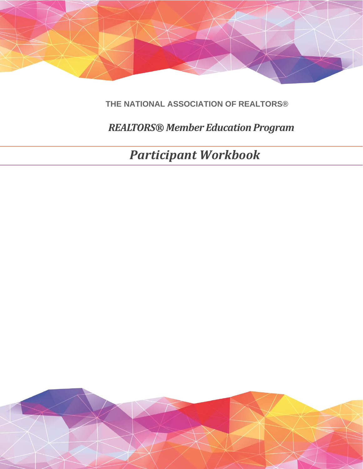

**THE NATIONAL ASSOCIATION OF REALTORS®**

## *REALTORS® Member Education Program*

# *Participant Workbook*

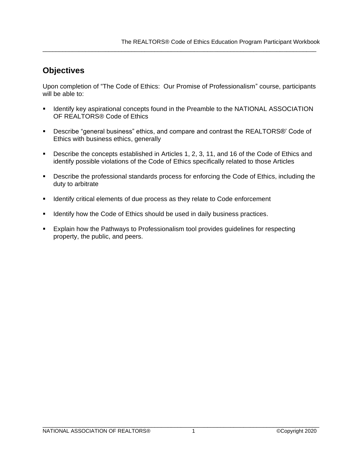## **Objectives**

Upon completion of "The Code of Ethics: Our Promise of Professionalism" course, participants will be able to:

\_\_\_\_\_\_\_\_\_\_\_\_\_\_\_\_\_\_\_\_\_\_\_\_\_\_\_\_\_\_\_\_\_\_\_\_\_\_\_\_\_\_\_\_\_\_\_\_\_\_\_\_\_\_\_\_\_\_\_\_\_\_\_\_\_\_\_\_\_\_\_\_\_\_\_\_\_\_\_\_\_\_\_

- Identify key aspirational concepts found in the Preamble to the NATIONAL ASSOCIATION OF REALTORS® Code of Ethics
- Describe "general business" ethics, and compare and contrast the REALTORS<sup>®</sup>' Code of Ethics with business ethics, generally
- **•** Describe the concepts established in Articles 1, 2, 3, 11, and 16 of the Code of Ethics and identify possible violations of the Code of Ethics specifically related to those Articles
- Describe the professional standards process for enforcing the Code of Ethics, including the duty to arbitrate
- Identify critical elements of due process as they relate to Code enforcement
- **E** Identify how the Code of Ethics should be used in daily business practices.
- Explain how the Pathways to Professionalism tool provides guidelines for respecting property, the public, and peers.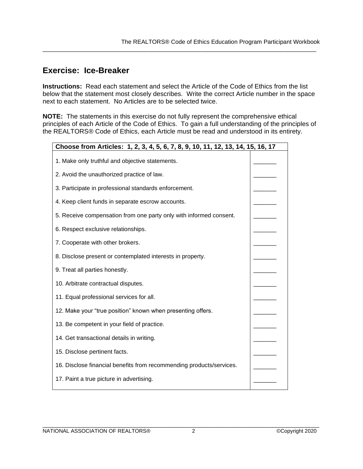## **Exercise: Ice-Breaker**

**Instructions:** Read each statement and select the Article of the Code of Ethics from the list below that the statement most closely describes. Write the correct Article number in the space next to each statement. No Articles are to be selected twice.

\_\_\_\_\_\_\_\_\_\_\_\_\_\_\_\_\_\_\_\_\_\_\_\_\_\_\_\_\_\_\_\_\_\_\_\_\_\_\_\_\_\_\_\_\_\_\_\_\_\_\_\_\_\_\_\_\_\_\_\_\_\_\_\_\_\_\_\_\_\_\_\_\_\_\_\_\_\_\_\_\_\_\_

**NOTE:** The statements in this exercise do not fully represent the comprehensive ethical principles of each Article of the Code of Ethics. To gain a full understanding of the principles of the REALTORS® Code of Ethics, each Article must be read and understood in its entirety.

| Choose from Articles: 1, 2, 3, 4, 5, 6, 7, 8, 9, 10, 11, 12, 13, 14, 15, 16, 17 |  |  |
|---------------------------------------------------------------------------------|--|--|
| 1. Make only truthful and objective statements.                                 |  |  |
| 2. Avoid the unauthorized practice of law.                                      |  |  |
| 3. Participate in professional standards enforcement.                           |  |  |
| 4. Keep client funds in separate escrow accounts.                               |  |  |
| 5. Receive compensation from one party only with informed consent.              |  |  |
| 6. Respect exclusive relationships.                                             |  |  |
| 7. Cooperate with other brokers.                                                |  |  |
| 8. Disclose present or contemplated interests in property.                      |  |  |
| 9. Treat all parties honestly.                                                  |  |  |
| 10. Arbitrate contractual disputes.                                             |  |  |
| 11. Equal professional services for all.                                        |  |  |
| 12. Make your "true position" known when presenting offers.                     |  |  |
| 13. Be competent in your field of practice.                                     |  |  |
| 14. Get transactional details in writing.                                       |  |  |
| 15. Disclose pertinent facts.                                                   |  |  |
| 16. Disclose financial benefits from recommending products/services.            |  |  |
| 17. Paint a true picture in advertising.                                        |  |  |
|                                                                                 |  |  |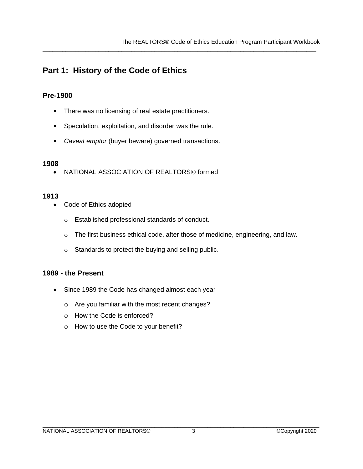## **Part 1: History of the Code of Ethics**

## **Pre-1900**

- **There was no licensing of real estate practitioners.**
- **EXE** Speculation, exploitation, and disorder was the rule.
- *Caveat emptor* (buyer beware) governed transactions.

## **1908**

• NATIONAL ASSOCIATION OF REALTORS<sup>®</sup> formed

## **1913**

- Code of Ethics adopted
	- o Established professional standards of conduct.
	- o The first business ethical code, after those of medicine, engineering, and law.

\_\_\_\_\_\_\_\_\_\_\_\_\_\_\_\_\_\_\_\_\_\_\_\_\_\_\_\_\_\_\_\_\_\_\_\_\_\_\_\_\_\_\_\_\_\_\_\_\_\_\_\_\_\_\_\_\_\_\_\_\_\_\_\_\_\_\_\_\_\_\_\_\_\_\_\_\_\_\_\_\_\_\_

o Standards to protect the buying and selling public.

## **1989 - the Present**

- Since 1989 the Code has changed almost each year
	- o Are you familiar with the most recent changes?
	- o How the Code is enforced?
	- o How to use the Code to your benefit?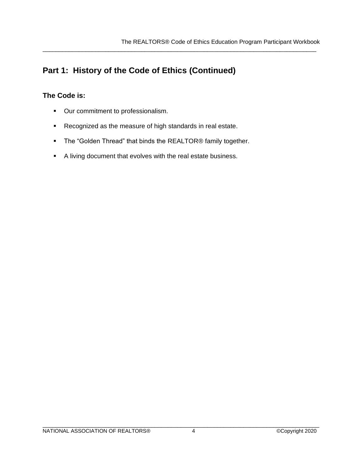\_\_\_\_\_\_\_\_\_\_\_\_\_\_\_\_\_\_\_\_\_\_\_\_\_\_\_\_\_\_\_\_\_\_\_\_\_\_\_\_\_\_\_\_\_\_\_\_\_\_\_\_\_\_\_\_\_\_\_\_\_\_\_\_\_\_\_\_\_\_\_\_\_\_\_\_\_\_\_\_\_\_\_

## **Part 1: History of the Code of Ethics (Continued)**

## **The Code is:**

- Our commitment to professionalism.
- Recognized as the measure of high standards in real estate.
- The "Golden Thread" that binds the REALTOR<sup>®</sup> family together.
- A living document that evolves with the real estate business.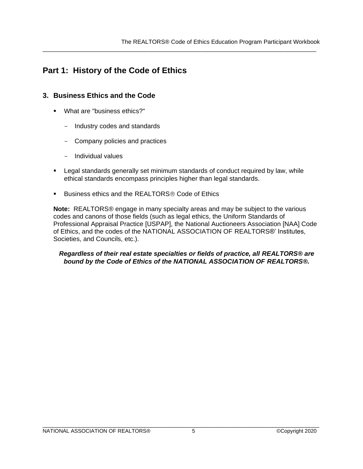## **Part 1: History of the Code of Ethics**

## **3. Business Ethics and the Code**

- What are "business ethics?"
	- Industry codes and standards
	- Company policies and practices
	- Individual values
- Legal standards generally set minimum standards of conduct required by law, while ethical standards encompass principles higher than legal standards.

\_\_\_\_\_\_\_\_\_\_\_\_\_\_\_\_\_\_\_\_\_\_\_\_\_\_\_\_\_\_\_\_\_\_\_\_\_\_\_\_\_\_\_\_\_\_\_\_\_\_\_\_\_\_\_\_\_\_\_\_\_\_\_\_\_\_\_\_\_\_\_\_\_\_\_\_\_\_\_\_\_\_\_

■ Business ethics and the REALTORS<sup>®</sup> Code of Ethics

**Note:** REALTORS® engage in many specialty areas and may be subject to the various codes and canons of those fields (such as legal ethics, the Uniform Standards of Professional Appraisal Practice [USPAP], the National Auctioneers Association [NAA] Code of Ethics, and the codes of the NATIONAL ASSOCIATION OF REALTORS®' Institutes, Societies, and Councils, etc.).

### *Regardless of their real estate specialties or fields of practice, all REALTORS® are bound by the Code of Ethics of the NATIONAL ASSOCIATION OF REALTORS®.*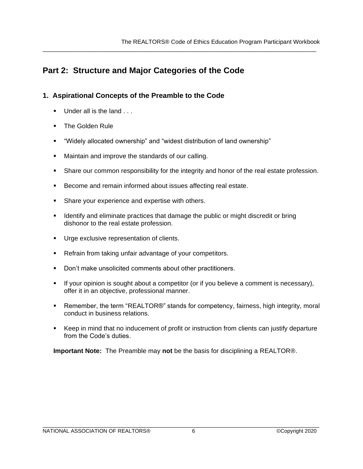## **Part 2: Structure and Major Categories of the Code**

## **1. Aspirational Concepts of the Preamble to the Code**

- $\blacksquare$  Under all is the land . . .
- The Golden Rule
- "Widely allocated ownership" and "widest distribution of land ownership"
- **■** Maintain and improve the standards of our calling.
- **•** Share our common responsibility for the integrity and honor of the real estate profession.

\_\_\_\_\_\_\_\_\_\_\_\_\_\_\_\_\_\_\_\_\_\_\_\_\_\_\_\_\_\_\_\_\_\_\_\_\_\_\_\_\_\_\_\_\_\_\_\_\_\_\_\_\_\_\_\_\_\_\_\_\_\_\_\_\_\_\_\_\_\_\_\_\_\_\_\_\_\_\_\_\_\_\_

- Become and remain informed about issues affecting real estate.
- Share your experience and expertise with others.
- **EXECT** Identify and eliminate practices that damage the public or might discredit or bring dishonor to the real estate profession.
- **■** Urge exclusive representation of clients.
- Refrain from taking unfair advantage of your competitors.
- Don't make unsolicited comments about other practitioners.
- **EXED If your opinion is sought about a competitor (or if you believe a comment is necessary),** offer it in an objective, professional manner.
- Remember, the term "REALTOR®" stands for competency, fairness, high integrity, moral conduct in business relations.
- Keep in mind that no inducement of profit or instruction from clients can justify departure from the Code's duties.

**Important Note:** The Preamble may **not** be the basis for disciplining a REALTOR®.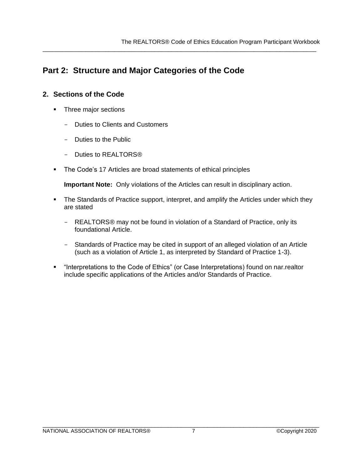## **Part 2: Structure and Major Categories of the Code**

## **2. Sections of the Code**

- Three major sections
	- Duties to Clients and Customers
	- Duties to the Public
	- Duties to REALTORS®
- The Code's 17 Articles are broad statements of ethical principles

**Important Note:** Only violations of the Articles can result in disciplinary action.

\_\_\_\_\_\_\_\_\_\_\_\_\_\_\_\_\_\_\_\_\_\_\_\_\_\_\_\_\_\_\_\_\_\_\_\_\_\_\_\_\_\_\_\_\_\_\_\_\_\_\_\_\_\_\_\_\_\_\_\_\_\_\_\_\_\_\_\_\_\_\_\_\_\_\_\_\_\_\_\_\_\_\_

- **•** The Standards of Practice support, interpret, and amplify the Articles under which they are stated
	- REALTORS® may not be found in violation of a Standard of Practice, only its foundational Article.
	- Standards of Practice may be cited in support of an alleged violation of an Article (such as a violation of Article 1, as interpreted by Standard of Practice 1-3).
- "Interpretations to the Code of Ethics" (or Case Interpretations) found on nar.realtor include specific applications of the Articles and/or Standards of Practice.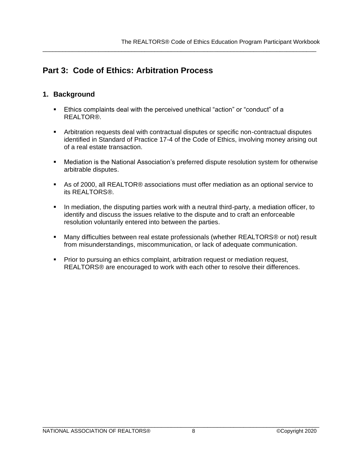## **1. Background**

- Ethics complaints deal with the perceived unethical "action" or "conduct" of a REALTOR®.
- Arbitration requests deal with contractual disputes or specific non-contractual disputes identified in Standard of Practice 17-4 of the Code of Ethics, involving money arising out of a real estate transaction.

\_\_\_\_\_\_\_\_\_\_\_\_\_\_\_\_\_\_\_\_\_\_\_\_\_\_\_\_\_\_\_\_\_\_\_\_\_\_\_\_\_\_\_\_\_\_\_\_\_\_\_\_\_\_\_\_\_\_\_\_\_\_\_\_\_\_\_\_\_\_\_\_\_\_\_\_\_\_\_\_\_\_\_

- Mediation is the National Association's preferred dispute resolution system for otherwise arbitrable disputes.
- As of 2000, all REALTOR<sup>®</sup> associations must offer mediation as an optional service to its REALTORS®.
- **•** In mediation, the disputing parties work with a neutral third-party, a mediation officer, to identify and discuss the issues relative to the dispute and to craft an enforceable resolution voluntarily entered into between the parties.
- Many difficulties between real estate professionals (whether REALTORS<sup>®</sup> or not) result from misunderstandings, miscommunication, or lack of adequate communication.
- Prior to pursuing an ethics complaint, arbitration request or mediation request, REALTORS® are encouraged to work with each other to resolve their differences.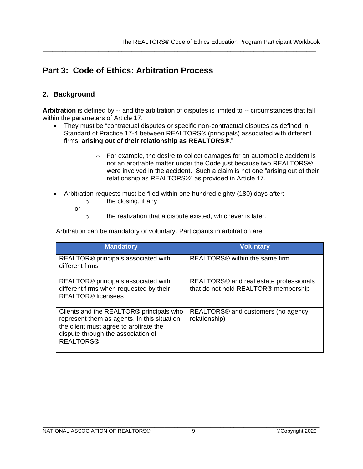## **2. Background**

**Arbitration** is defined by -- and the arbitration of disputes is limited to -- circumstances that fall within the parameters of Article 17.

\_\_\_\_\_\_\_\_\_\_\_\_\_\_\_\_\_\_\_\_\_\_\_\_\_\_\_\_\_\_\_\_\_\_\_\_\_\_\_\_\_\_\_\_\_\_\_\_\_\_\_\_\_\_\_\_\_\_\_\_\_\_\_\_\_\_\_\_\_\_\_\_\_\_\_\_\_\_\_\_\_\_\_

- They must be "contractual disputes or specific non-contractual disputes as defined in Standard of Practice 17-4 between REALTORS® (principals) associated with different firms, **arising out of their relationship as REALTORS®**."
	- o For example, the desire to collect damages for an automobile accident is not an arbitrable matter under the Code just because two REALTORS® were involved in the accident. Such a claim is not one "arising out of their relationship as REALTORS®" as provided in Article 17.
- Arbitration requests must be filed within one hundred eighty (180) days after:
	- $\circ$  the closing, if any

or

o the realization that a dispute existed, whichever is later.

Arbitration can be mandatory or voluntary. Participants in arbitration are:

| <b>Mandatory</b>                                                                                                                                                                      | <b>Voluntary</b>                                                                |
|---------------------------------------------------------------------------------------------------------------------------------------------------------------------------------------|---------------------------------------------------------------------------------|
| REALTOR <sup>®</sup> principals associated with<br>different firms                                                                                                                    | REALTORS® within the same firm                                                  |
| REALTOR <sup>®</sup> principals associated with<br>different firms when requested by their<br><b>REALTOR®</b> licensees                                                               | REALTORS® and real estate professionals<br>that do not hold REALTOR® membership |
| Clients and the REALTOR® principals who<br>represent them as agents. In this situation,<br>the client must agree to arbitrate the<br>dispute through the association of<br>REALTORS®. | REALTORS <sup>®</sup> and customers (no agency<br>relationship)                 |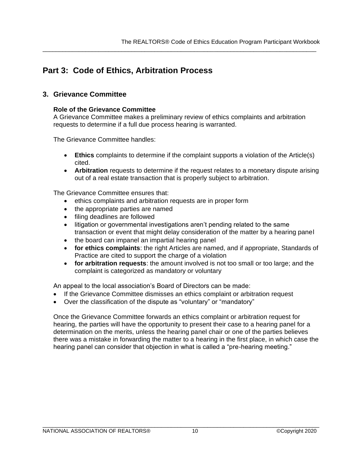## **3. Grievance Committee**

## **Role of the Grievance Committee**

A Grievance Committee makes a preliminary review of ethics complaints and arbitration requests to determine if a full due process hearing is warranted.

\_\_\_\_\_\_\_\_\_\_\_\_\_\_\_\_\_\_\_\_\_\_\_\_\_\_\_\_\_\_\_\_\_\_\_\_\_\_\_\_\_\_\_\_\_\_\_\_\_\_\_\_\_\_\_\_\_\_\_\_\_\_\_\_\_\_\_\_\_\_\_\_\_\_\_\_\_\_\_\_\_\_\_

The Grievance Committee handles:

- **Ethics** complaints to determine if the complaint supports a violation of the Article(s) cited.
- **Arbitration** requests to determine if the request relates to a monetary dispute arising out of a real estate transaction that is properly subject to arbitration.

The Grievance Committee ensures that:

- ethics complaints and arbitration requests are in proper form
- the appropriate parties are named
- filing deadlines are followed
- litigation or governmental investigations aren't pending related to the same transaction or event that might delay consideration of the matter by a hearing panel
- the board can impanel an impartial hearing panel
- **for ethics complaints**: the right Articles are named, and if appropriate, Standards of Practice are cited to support the charge of a violation
- **for arbitration requests**: the amount involved is not too small or too large; and the complaint is categorized as mandatory or voluntary

An appeal to the local association's Board of Directors can be made:

- If the Grievance Committee dismisses an ethics complaint or arbitration request
- Over the classification of the dispute as "voluntary" or "mandatory"

Once the Grievance Committee forwards an ethics complaint or arbitration request for hearing, the parties will have the opportunity to present their case to a hearing panel for a determination on the merits, unless the hearing panel chair or one of the parties believes there was a mistake in forwarding the matter to a hearing in the first place, in which case the hearing panel can consider that objection in what is called a "pre-hearing meeting."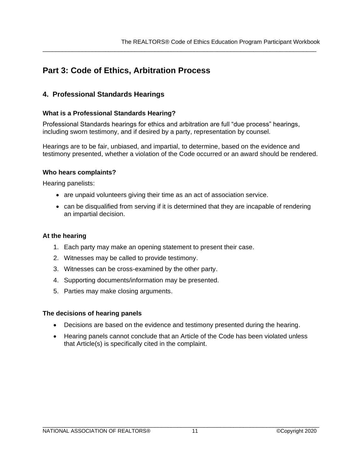## **4. Professional Standards Hearings**

## **What is a Professional Standards Hearing?**

Professional Standards hearings for ethics and arbitration are full "due process" hearings, including sworn testimony, and if desired by a party, representation by counsel.

Hearings are to be fair, unbiased, and impartial, to determine, based on the evidence and testimony presented, whether a violation of the Code occurred or an award should be rendered.

\_\_\_\_\_\_\_\_\_\_\_\_\_\_\_\_\_\_\_\_\_\_\_\_\_\_\_\_\_\_\_\_\_\_\_\_\_\_\_\_\_\_\_\_\_\_\_\_\_\_\_\_\_\_\_\_\_\_\_\_\_\_\_\_\_\_\_\_\_\_\_\_\_\_\_\_\_\_\_\_\_\_\_

## **Who hears complaints?**

Hearing panelists:

- are unpaid volunteers giving their time as an act of association service.
- can be disqualified from serving if it is determined that they are incapable of rendering an impartial decision.

## **At the hearing**

- 1. Each party may make an opening statement to present their case.
- 2. Witnesses may be called to provide testimony.
- 3. Witnesses can be cross-examined by the other party.
- 4. Supporting documents/information may be presented.
- 5. Parties may make closing arguments.

### **The decisions of hearing panels**

- Decisions are based on the evidence and testimony presented during the hearing.
- Hearing panels cannot conclude that an Article of the Code has been violated unless that Article(s) is specifically cited in the complaint.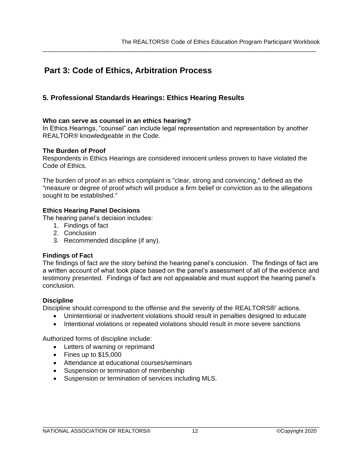## **5. Professional Standards Hearings: Ethics Hearing Results**

## **Who can serve as counsel in an ethics hearing?**

In Ethics Hearings, "counsel" can include legal representation and representation by another REALTOR® knowledgeable in the Code.

\_\_\_\_\_\_\_\_\_\_\_\_\_\_\_\_\_\_\_\_\_\_\_\_\_\_\_\_\_\_\_\_\_\_\_\_\_\_\_\_\_\_\_\_\_\_\_\_\_\_\_\_\_\_\_\_\_\_\_\_\_\_\_\_\_\_\_\_\_\_\_\_\_\_\_\_\_\_\_\_\_\_\_

## **The Burden of Proof**

Respondents in Ethics Hearings are considered innocent unless proven to have violated the Code of Ethics.

The burden of proof in an ethics complaint is "clear, strong and convincing," defined as the "measure or degree of proof which will produce a firm belief or conviction as to the allegations sought to be established."

## **Ethics Hearing Panel Decisions**

The hearing panel's decision includes:

- 1. Findings of fact
- 2. Conclusion
- 3. Recommended discipline (if any).

## **Findings of Fact**

The findings of fact are the story behind the hearing panel's conclusion. The findings of fact are a written account of what took place based on the panel's assessment of all of the evidence and testimony presented. Findings of fact are not appealable and must support the hearing panel's conclusion.

## **Discipline**

Discipline should correspond to the offense and the severity of the REALTORS®' actions.

- Unintentional or inadvertent violations should result in penalties designed to educate
- Intentional violations or repeated violations should result in more severe sanctions

Authorized forms of discipline include:

- Letters of warning or reprimand
- Fines up to \$15,000
- Attendance at educational courses/seminars
- Suspension or termination of membership
- Suspension or termination of services including MLS.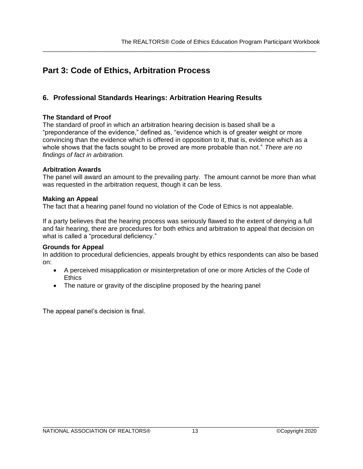## **6. Professional Standards Hearings: Arbitration Hearing Results**

## **The Standard of Proof**

The standard of proof in which an arbitration hearing decision is based shall be a "preponderance of the evidence," defined as, "evidence which is of greater weight or more convincing than the evidence which is offered in opposition to it, that is, evidence which as a whole shows that the facts sought to be proved are more probable than not." *There are no findings of fact in arbitration.* 

\_\_\_\_\_\_\_\_\_\_\_\_\_\_\_\_\_\_\_\_\_\_\_\_\_\_\_\_\_\_\_\_\_\_\_\_\_\_\_\_\_\_\_\_\_\_\_\_\_\_\_\_\_\_\_\_\_\_\_\_\_\_\_\_\_\_\_\_\_\_\_\_\_\_\_\_\_\_\_\_\_\_\_

## **Arbitration Awards**

The panel will award an amount to the prevailing party. The amount cannot be more than what was requested in the arbitration request, though it can be less.

### **Making an Appeal**

The fact that a hearing panel found no violation of the Code of Ethics is not appealable.

If a party believes that the hearing process was seriously flawed to the extent of denying a full and fair hearing, there are procedures for both ethics and arbitration to appeal that decision on what is called a "procedural deficiency."

### **Grounds for Appeal**

In addition to procedural deficiencies, appeals brought by ethics respondents can also be based on:

- A perceived misapplication or misinterpretation of one or more Articles of the Code of **Ethics**
- The nature or gravity of the discipline proposed by the hearing panel

The appeal panel's decision is final.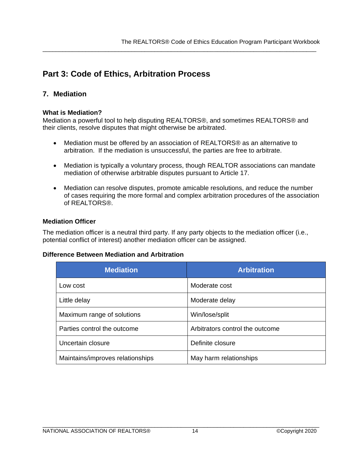## **7. Mediation**

## **What is Mediation?**

Mediation a powerful tool to help disputing REALTORS®, and sometimes REALTORS® and their clients, resolve disputes that might otherwise be arbitrated.

\_\_\_\_\_\_\_\_\_\_\_\_\_\_\_\_\_\_\_\_\_\_\_\_\_\_\_\_\_\_\_\_\_\_\_\_\_\_\_\_\_\_\_\_\_\_\_\_\_\_\_\_\_\_\_\_\_\_\_\_\_\_\_\_\_\_\_\_\_\_\_\_\_\_\_\_\_\_\_\_\_\_\_

- Mediation must be offered by an association of REALTORS® as an alternative to arbitration. If the mediation is unsuccessful, the parties are free to arbitrate.
- Mediation is typically a voluntary process, though REALTOR associations can mandate mediation of otherwise arbitrable disputes pursuant to Article 17.
- Mediation can resolve disputes, promote amicable resolutions, and reduce the number of cases requiring the more formal and complex arbitration procedures of the association of REALTORS®.

## **Mediation Officer**

The mediation officer is a neutral third party. If any party objects to the mediation officer (i.e., potential conflict of interest) another mediation officer can be assigned.

### **Difference Between Mediation and Arbitration**

| <b>Mediation</b>                 | <b>Arbitration</b>              |
|----------------------------------|---------------------------------|
| Low cost                         | Moderate cost                   |
| Little delay                     | Moderate delay                  |
| Maximum range of solutions       | Win/lose/split                  |
| Parties control the outcome      | Arbitrators control the outcome |
| Uncertain closure                | Definite closure                |
| Maintains/improves relationships | May harm relationships          |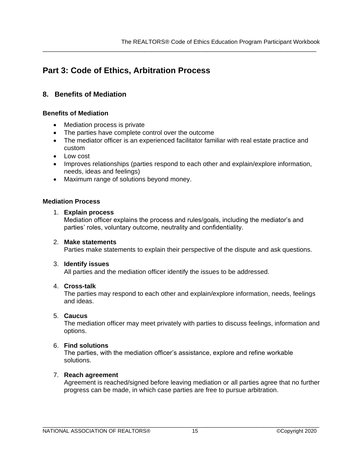## **8. Benefits of Mediation**

### **Benefits of Mediation**

- Mediation process is private
- The parties have complete control over the outcome
- The mediator officer is an experienced facilitator familiar with real estate practice and custom

\_\_\_\_\_\_\_\_\_\_\_\_\_\_\_\_\_\_\_\_\_\_\_\_\_\_\_\_\_\_\_\_\_\_\_\_\_\_\_\_\_\_\_\_\_\_\_\_\_\_\_\_\_\_\_\_\_\_\_\_\_\_\_\_\_\_\_\_\_\_\_\_\_\_\_\_\_\_\_\_\_\_\_

- Low cost
- Improves relationships (parties respond to each other and explain/explore information, needs, ideas and feelings)
- Maximum range of solutions beyond money.

### **Mediation Process**

### 1. **Explain process**

Mediation officer explains the process and rules/goals, including the mediator's and parties' roles, voluntary outcome, neutrality and confidentiality.

## 2. **Make statements**

Parties make statements to explain their perspective of the dispute and ask questions.

### 3. **Identify issues**

All parties and the mediation officer identify the issues to be addressed.

### 4. **Cross-talk**

The parties may respond to each other and explain/explore information, needs, feelings and ideas.

## 5. **Caucus**

The mediation officer may meet privately with parties to discuss feelings, information and options.

### 6. **Find solutions**

The parties, with the mediation officer's assistance, explore and refine workable solutions.

### 7. **Reach agreement**

Agreement is reached/signed before leaving mediation or all parties agree that no further progress can be made, in which case parties are free to pursue arbitration.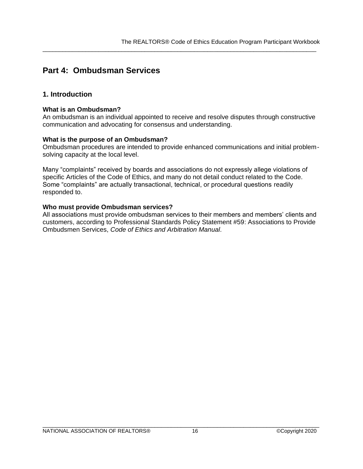## **1. Introduction**

## **What is an Ombudsman?**

An ombudsman is an individual appointed to receive and resolve disputes through constructive communication and advocating for consensus and understanding.

\_\_\_\_\_\_\_\_\_\_\_\_\_\_\_\_\_\_\_\_\_\_\_\_\_\_\_\_\_\_\_\_\_\_\_\_\_\_\_\_\_\_\_\_\_\_\_\_\_\_\_\_\_\_\_\_\_\_\_\_\_\_\_\_\_\_\_\_\_\_\_\_\_\_\_\_\_\_\_\_\_\_\_

## **What is the purpose of an Ombudsman?**

Ombudsman procedures are intended to provide enhanced communications and initial problemsolving capacity at the local level.

Many "complaints" received by boards and associations do not expressly allege violations of specific Articles of the Code of Ethics, and many do not detail conduct related to the Code. Some "complaints" are actually transactional, technical, or procedural questions readily responded to.

## **Who must provide Ombudsman services?**

All associations must provide ombudsman services to their members and members' clients and customers, according to Professional Standards Policy Statement #59: Associations to Provide Ombudsmen Services, *Code of Ethics and Arbitration Manual.*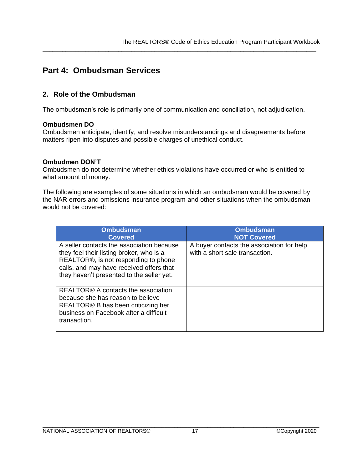## **2. Role of the Ombudsman**

The ombudsman's role is primarily one of communication and conciliation, not adjudication.

\_\_\_\_\_\_\_\_\_\_\_\_\_\_\_\_\_\_\_\_\_\_\_\_\_\_\_\_\_\_\_\_\_\_\_\_\_\_\_\_\_\_\_\_\_\_\_\_\_\_\_\_\_\_\_\_\_\_\_\_\_\_\_\_\_\_\_\_\_\_\_\_\_\_\_\_\_\_\_\_\_\_\_

## **Ombudsmen DO**

Ombudsmen anticipate, identify, and resolve misunderstandings and disagreements before matters ripen into disputes and possible charges of unethical conduct.

## **Ombudmen DON'T**

Ombudsmen do not determine whether ethics violations have occurred or who is entitled to what amount of money.

The following are examples of some situations in which an ombudsman would be covered by the NAR errors and omissions insurance program and other situations when the ombudsman would not be covered:

| <b>Ombudsman</b><br><b>Covered</b>                                                                                                                                                                                                  | <b>Ombudsman</b><br><b>NOT Covered</b>                                      |
|-------------------------------------------------------------------------------------------------------------------------------------------------------------------------------------------------------------------------------------|-----------------------------------------------------------------------------|
| A seller contacts the association because<br>they feel their listing broker, who is a<br>REALTOR <sup>®</sup> , is not responding to phone<br>calls, and may have received offers that<br>they haven't presented to the seller yet. | A buyer contacts the association for help<br>with a short sale transaction. |
| REALTOR® A contacts the association<br>because she has reason to believe<br>REALTOR® B has been criticizing her<br>business on Facebook after a difficult<br>transaction.                                                           |                                                                             |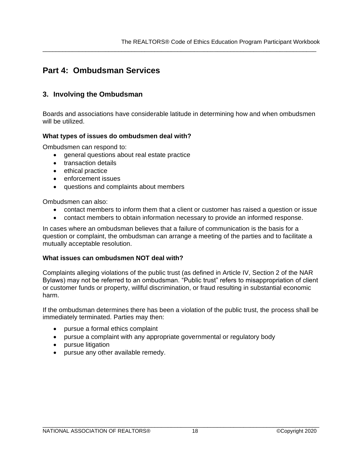## **3. Involving the Ombudsman**

Boards and associations have considerable latitude in determining how and when ombudsmen will be utilized.

\_\_\_\_\_\_\_\_\_\_\_\_\_\_\_\_\_\_\_\_\_\_\_\_\_\_\_\_\_\_\_\_\_\_\_\_\_\_\_\_\_\_\_\_\_\_\_\_\_\_\_\_\_\_\_\_\_\_\_\_\_\_\_\_\_\_\_\_\_\_\_\_\_\_\_\_\_\_\_\_\_\_\_

### **What types of issues do ombudsmen deal with?**

Ombudsmen can respond to:

- general questions about real estate practice
- transaction details
- ethical practice
- enforcement issues
- questions and complaints about members

Ombudsmen can also:

- contact members to inform them that a client or customer has raised a question or issue
- contact members to obtain information necessary to provide an informed response.

In cases where an ombudsman believes that a failure of communication is the basis for a question or complaint, the ombudsman can arrange a meeting of the parties and to facilitate a mutually acceptable resolution.

### **What issues can ombudsmen NOT deal with?**

Complaints alleging violations of the public trust (as defined in Article IV, Section 2 of the NAR Bylaws) may not be referred to an ombudsman. "Public trust" refers to misappropriation of client or customer funds or property, willful discrimination, or fraud resulting in substantial economic harm.

If the ombudsman determines there has been a violation of the public trust, the process shall be immediately terminated. Parties may then:

- pursue a formal ethics complaint
- pursue a complaint with any appropriate governmental or regulatory body
- pursue litigation
- pursue any other available remedy.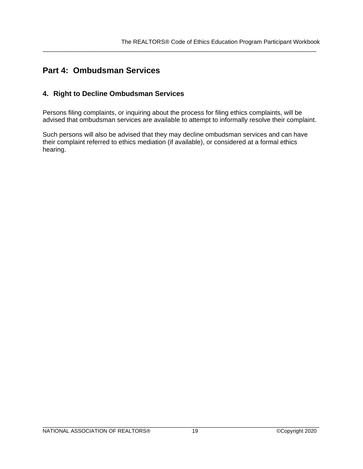## **4. Right to Decline Ombudsman Services**

Persons filing complaints, or inquiring about the process for filing ethics complaints, will be advised that ombudsman services are available to attempt to informally resolve their complaint.

\_\_\_\_\_\_\_\_\_\_\_\_\_\_\_\_\_\_\_\_\_\_\_\_\_\_\_\_\_\_\_\_\_\_\_\_\_\_\_\_\_\_\_\_\_\_\_\_\_\_\_\_\_\_\_\_\_\_\_\_\_\_\_\_\_\_\_\_\_\_\_\_\_\_\_\_\_\_\_\_\_\_\_

Such persons will also be advised that they may decline ombudsman services and can have their complaint referred to ethics mediation (if available), or considered at a formal ethics hearing.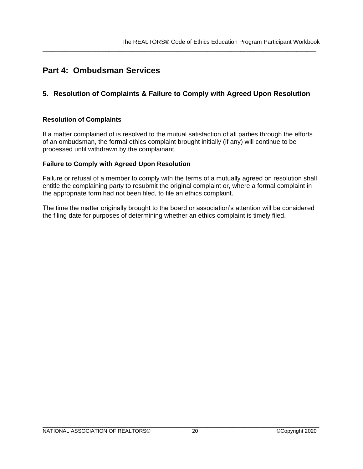## **5. Resolution of Complaints & Failure to Comply with Agreed Upon Resolution**

\_\_\_\_\_\_\_\_\_\_\_\_\_\_\_\_\_\_\_\_\_\_\_\_\_\_\_\_\_\_\_\_\_\_\_\_\_\_\_\_\_\_\_\_\_\_\_\_\_\_\_\_\_\_\_\_\_\_\_\_\_\_\_\_\_\_\_\_\_\_\_\_\_\_\_\_\_\_\_\_\_\_\_

## **Resolution of Complaints**

If a matter complained of is resolved to the mutual satisfaction of all parties through the efforts of an ombudsman, the formal ethics complaint brought initially (if any) will continue to be processed until withdrawn by the complainant.

## **Failure to Comply with Agreed Upon Resolution**

Failure or refusal of a member to comply with the terms of a mutually agreed on resolution shall entitle the complaining party to resubmit the original complaint or, where a formal complaint in the appropriate form had not been filed, to file an ethics complaint.

The time the matter originally brought to the board or association's attention will be considered the filing date for purposes of determining whether an ethics complaint is timely filed.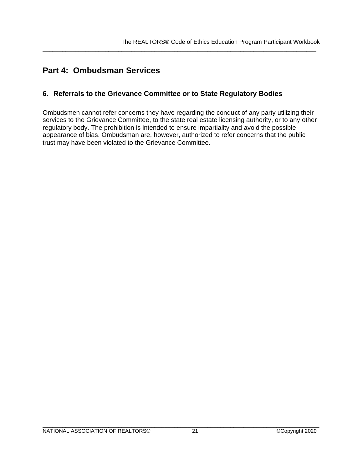## **6. Referrals to the Grievance Committee or to State Regulatory Bodies**

Ombudsmen cannot refer concerns they have regarding the conduct of any party utilizing their services to the Grievance Committee, to the state real estate licensing authority, or to any other regulatory body. The prohibition is intended to ensure impartiality and avoid the possible appearance of bias. Ombudsman are, however, authorized to refer concerns that the public trust may have been violated to the Grievance Committee.

\_\_\_\_\_\_\_\_\_\_\_\_\_\_\_\_\_\_\_\_\_\_\_\_\_\_\_\_\_\_\_\_\_\_\_\_\_\_\_\_\_\_\_\_\_\_\_\_\_\_\_\_\_\_\_\_\_\_\_\_\_\_\_\_\_\_\_\_\_\_\_\_\_\_\_\_\_\_\_\_\_\_\_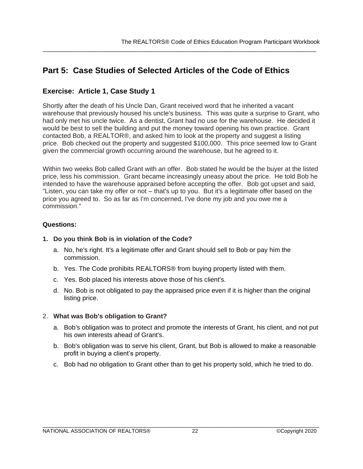## **Part 5: Case Studies of Selected Articles of the Code of Ethics**

## **Exercise: Article 1, Case Study 1**

Shortly after the death of his Uncle Dan, Grant received word that he inherited a vacant warehouse that previously housed his uncle's business. This was quite a surprise to Grant, who had only met his uncle twice. As a dentist, Grant had no use for the warehouse. He decided it would be best to sell the building and put the money toward opening his own practice. Grant contacted Bob, a REALTOR®, and asked him to look at the property and suggest a listing price. Bob checked out the property and suggested \$100,000. This price seemed low to Grant given the commercial growth occurring around the warehouse, but he agreed to it.

\_\_\_\_\_\_\_\_\_\_\_\_\_\_\_\_\_\_\_\_\_\_\_\_\_\_\_\_\_\_\_\_\_\_\_\_\_\_\_\_\_\_\_\_\_\_\_\_\_\_\_\_\_\_\_\_\_\_\_\_\_\_\_\_\_\_\_\_\_\_\_\_\_\_\_\_\_\_\_\_\_\_\_

Within two weeks Bob called Grant with an offer. Bob stated he would be the buyer at the listed price, less his commission. Grant became increasingly uneasy about the price. He told Bob he intended to have the warehouse appraised before accepting the offer. Bob got upset and said, "Listen, you can take my offer or not – that's up to you. But it's a legitimate offer based on the price you agreed to. So as far as I'm concerned, I've done my job and you owe me a commission."

## **Questions:**

## **1. Do you think Bob is in violation of the Code?**

- a. No, he's right. It's a legitimate offer and Grant should sell to Bob or pay him the commission.
- b. Yes. The Code prohibits REALTORS® from buying property listed with them.
- c. Yes. Bob placed his interests above those of his client's.
- d. No. Bob is not obligated to pay the appraised price even if it is higher than the original listing price.

### 2. **What was Bob's obligation to Grant?**

- a. Bob's obligation was to protect and promote the interests of Grant, his client, and not put his own interests ahead of Grant's.
- b. Bob's obligation was to serve his client, Grant, but Bob is allowed to make a reasonable profit in buying a client's property.
- c. Bob had no obligation to Grant other than to get his property sold, which he tried to do.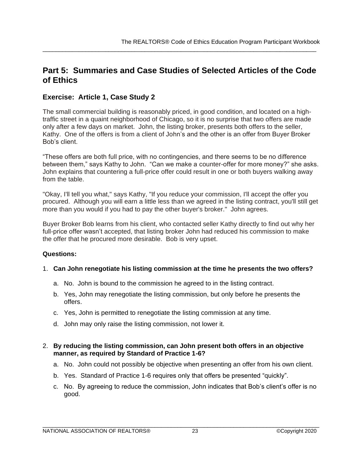\_\_\_\_\_\_\_\_\_\_\_\_\_\_\_\_\_\_\_\_\_\_\_\_\_\_\_\_\_\_\_\_\_\_\_\_\_\_\_\_\_\_\_\_\_\_\_\_\_\_\_\_\_\_\_\_\_\_\_\_\_\_\_\_\_\_\_\_\_\_\_\_\_\_\_\_\_\_\_\_\_\_\_

## **Exercise: Article 1, Case Study 2**

The small commercial building is reasonably priced, in good condition, and located on a hightraffic street in a quaint neighborhood of Chicago, so it is no surprise that two offers are made only after a few days on market. John, the listing broker, presents both offers to the seller, Kathy. One of the offers is from a client of John's and the other is an offer from Buyer Broker Bob's client.

"These offers are both full price, with no contingencies, and there seems to be no difference between them," says Kathy to John. "Can we make a counter-offer for more money?" she asks. John explains that countering a full-price offer could result in one or both buyers walking away from the table.

"Okay, I'll tell you what," says Kathy, "If you reduce your commission, I'll accept the offer you procured. Although you will earn a little less than we agreed in the listing contract, you'll still get more than you would if you had to pay the other buyer's broker." John agrees.

Buyer Broker Bob learns from his client, who contacted seller Kathy directly to find out why her full-price offer wasn't accepted, that listing broker John had reduced his commission to make the offer that he procured more desirable. Bob is very upset.

### **Questions:**

### 1. **Can John renegotiate his listing commission at the time he presents the two offers?**

- a. No. John is bound to the commission he agreed to in the listing contract.
- b. Yes, John may renegotiate the listing commission, but only before he presents the offers.
- c. Yes, John is permitted to renegotiate the listing commission at any time.
- d. John may only raise the listing commission, not lower it.

### 2. **By reducing the listing commission, can John present both offers in an objective manner, as required by Standard of Practice 1-6?**

- a. No. John could not possibly be objective when presenting an offer from his own client.
- b. Yes. Standard of Practice 1-6 requires only that offers be presented "quickly".
- c. No. By agreeing to reduce the commission, John indicates that Bob's client's offer is no good.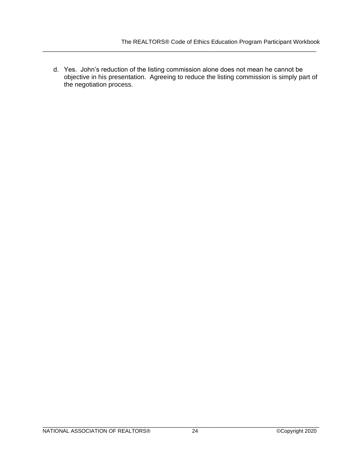d. Yes. John's reduction of the listing commission alone does not mean he cannot be objective in his presentation. Agreeing to reduce the listing commission is simply part of the negotiation process.

\_\_\_\_\_\_\_\_\_\_\_\_\_\_\_\_\_\_\_\_\_\_\_\_\_\_\_\_\_\_\_\_\_\_\_\_\_\_\_\_\_\_\_\_\_\_\_\_\_\_\_\_\_\_\_\_\_\_\_\_\_\_\_\_\_\_\_\_\_\_\_\_\_\_\_\_\_\_\_\_\_\_\_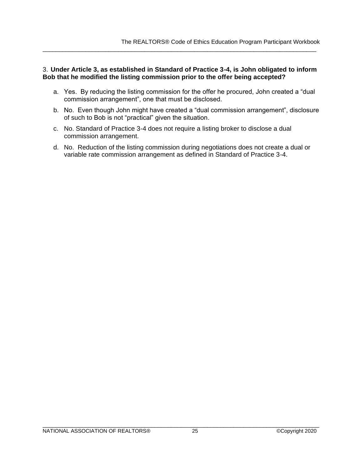## 3. **Under Article 3, as established in Standard of Practice 3-4, is John obligated to inform Bob that he modified the listing commission prior to the offer being accepted?**

\_\_\_\_\_\_\_\_\_\_\_\_\_\_\_\_\_\_\_\_\_\_\_\_\_\_\_\_\_\_\_\_\_\_\_\_\_\_\_\_\_\_\_\_\_\_\_\_\_\_\_\_\_\_\_\_\_\_\_\_\_\_\_\_\_\_\_\_\_\_\_\_\_\_\_\_\_\_\_\_\_\_\_

- a. Yes. By reducing the listing commission for the offer he procured, John created a "dual commission arrangement", one that must be disclosed.
- b. No. Even though John might have created a "dual commission arrangement", disclosure of such to Bob is not "practical" given the situation.
- c. No. Standard of Practice 3-4 does not require a listing broker to disclose a dual commission arrangement.
- d. No. Reduction of the listing commission during negotiations does not create a dual or variable rate commission arrangement as defined in Standard of Practice 3-4.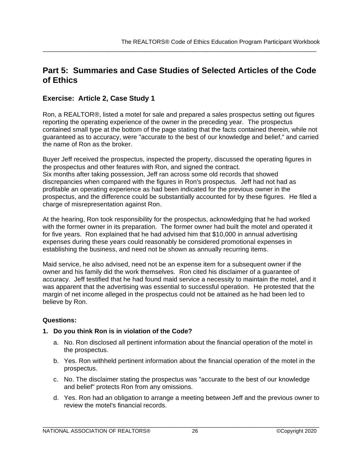\_\_\_\_\_\_\_\_\_\_\_\_\_\_\_\_\_\_\_\_\_\_\_\_\_\_\_\_\_\_\_\_\_\_\_\_\_\_\_\_\_\_\_\_\_\_\_\_\_\_\_\_\_\_\_\_\_\_\_\_\_\_\_\_\_\_\_\_\_\_\_\_\_\_\_\_\_\_\_\_\_\_\_

## **Exercise: Article 2, Case Study 1**

Ron, a REALTOR®, listed a motel for sale and prepared a sales prospectus setting out figures reporting the operating experience of the owner in the preceding year. The prospectus contained small type at the bottom of the page stating that the facts contained therein, while not guaranteed as to accuracy, were "accurate to the best of our knowledge and belief," and carried the name of Ron as the broker.

Buyer Jeff received the prospectus, inspected the property, discussed the operating figures in the prospectus and other features with Ron, and signed the contract. Six months after taking possession, Jeff ran across some old records that showed discrepancies when compared with the figures in Ron's prospectus. Jeff had not had as profitable an operating experience as had been indicated for the previous owner in the prospectus, and the difference could be substantially accounted for by these figures. He filed a charge of misrepresentation against Ron.

At the hearing, Ron took responsibility for the prospectus, acknowledging that he had worked with the former owner in its preparation. The former owner had built the motel and operated it for five years. Ron explained that he had advised him that \$10,000 in annual advertising expenses during these years could reasonably be considered promotional expenses in establishing the business, and need not be shown as annually recurring items.

Maid service, he also advised, need not be an expense item for a subsequent owner if the owner and his family did the work themselves. Ron cited his disclaimer of a guarantee of accuracy. Jeff testified that he had found maid service a necessity to maintain the motel, and it was apparent that the advertising was essential to successful operation. He protested that the margin of net income alleged in the prospectus could not be attained as he had been led to believe by Ron.

### **Questions:**

### **1. Do you think Ron is in violation of the Code?**

- a. No. Ron disclosed all pertinent information about the financial operation of the motel in the prospectus.
- b. Yes. Ron withheld pertinent information about the financial operation of the motel in the prospectus.
- c. No. The disclaimer stating the prospectus was "accurate to the best of our knowledge and belief" protects Ron from any omissions.
- d. Yes. Ron had an obligation to arrange a meeting between Jeff and the previous owner to review the motel's financial records.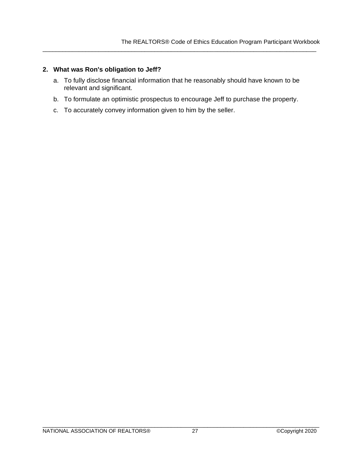## **2. What was Ron's obligation to Jeff?**

a. To fully disclose financial information that he reasonably should have known to be relevant and significant.

\_\_\_\_\_\_\_\_\_\_\_\_\_\_\_\_\_\_\_\_\_\_\_\_\_\_\_\_\_\_\_\_\_\_\_\_\_\_\_\_\_\_\_\_\_\_\_\_\_\_\_\_\_\_\_\_\_\_\_\_\_\_\_\_\_\_\_\_\_\_\_\_\_\_\_\_\_\_\_\_\_\_\_

- b. To formulate an optimistic prospectus to encourage Jeff to purchase the property.
- c. To accurately convey information given to him by the seller.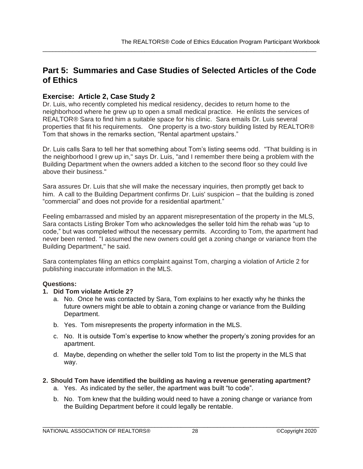\_\_\_\_\_\_\_\_\_\_\_\_\_\_\_\_\_\_\_\_\_\_\_\_\_\_\_\_\_\_\_\_\_\_\_\_\_\_\_\_\_\_\_\_\_\_\_\_\_\_\_\_\_\_\_\_\_\_\_\_\_\_\_\_\_\_\_\_\_\_\_\_\_\_\_\_\_\_\_\_\_\_\_

## **Exercise: Article 2, Case Study 2**

Dr. Luis, who recently completed his medical residency, decides to return home to the neighborhood where he grew up to open a small medical practice. He enlists the services of REALTOR® Sara to find him a suitable space for his clinic. Sara emails Dr. Luis several properties that fit his requirements. One property is a two-story building listed by REALTOR® Tom that shows in the remarks section, "Rental apartment upstairs."

Dr. Luis calls Sara to tell her that something about Tom's listing seems odd. "That building is in the neighborhood I grew up in," says Dr. Luis, "and I remember there being a problem with the Building Department when the owners added a kitchen to the second floor so they could live above their business."

Sara assures Dr. Luis that she will make the necessary inquiries, then promptly get back to him. A call to the Building Department confirms Dr. Luis' suspicion – that the building is zoned "commercial" and does not provide for a residential apartment."

Feeling embarrassed and misled by an apparent misrepresentation of the property in the MLS, Sara contacts Listing Broker Tom who acknowledges the seller told him the rehab was "up to code," but was completed without the necessary permits. According to Tom, the apartment had never been rented. "I assumed the new owners could get a zoning change or variance from the Building Department," he said.

Sara contemplates filing an ethics complaint against Tom, charging a violation of Article 2 for publishing inaccurate information in the MLS.

### **Questions:**

### **1. Did Tom violate Article 2?**

- a. No. Once he was contacted by Sara, Tom explains to her exactly why he thinks the future owners might be able to obtain a zoning change or variance from the Building Department.
- b. Yes. Tom misrepresents the property information in the MLS.
- c. No. It is outside Tom's expertise to know whether the property's zoning provides for an apartment.
- d. Maybe, depending on whether the seller told Tom to list the property in the MLS that way.
- **2. Should Tom have identified the building as having a revenue generating apartment?** a. Yes. As indicated by the seller, the apartment was built "to code".
	- b. No. Tom knew that the building would need to have a zoning change or variance from the Building Department before it could legally be rentable.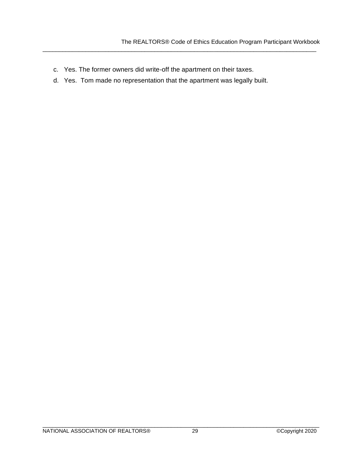- c. Yes. The former owners did write-off the apartment on their taxes.
- d. Yes. Tom made no representation that the apartment was legally built.

\_\_\_\_\_\_\_\_\_\_\_\_\_\_\_\_\_\_\_\_\_\_\_\_\_\_\_\_\_\_\_\_\_\_\_\_\_\_\_\_\_\_\_\_\_\_\_\_\_\_\_\_\_\_\_\_\_\_\_\_\_\_\_\_\_\_\_\_\_\_\_\_\_\_\_\_\_\_\_\_\_\_\_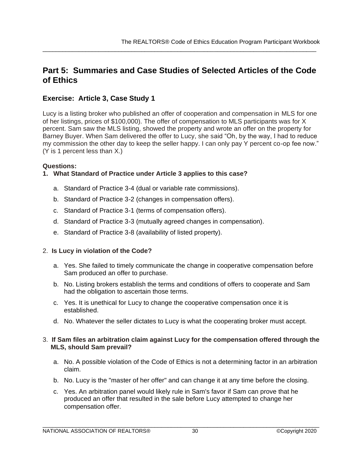\_\_\_\_\_\_\_\_\_\_\_\_\_\_\_\_\_\_\_\_\_\_\_\_\_\_\_\_\_\_\_\_\_\_\_\_\_\_\_\_\_\_\_\_\_\_\_\_\_\_\_\_\_\_\_\_\_\_\_\_\_\_\_\_\_\_\_\_\_\_\_\_\_\_\_\_\_\_\_\_\_\_\_

## **Exercise: Article 3, Case Study 1**

Lucy is a listing broker who published an offer of cooperation and compensation in MLS for one of her listings, prices of \$100,000). The offer of compensation to MLS participants was for X percent. Sam saw the MLS listing, showed the property and wrote an offer on the property for Barney Buyer. When Sam delivered the offer to Lucy, she said "Oh, by the way, I had to reduce my commission the other day to keep the seller happy. I can only pay Y percent co-op fee now." (Y is 1 percent less than X.)

## **Questions:**

## **1. What Standard of Practice under Article 3 applies to this case?**

- a. Standard of Practice 3-4 (dual or variable rate commissions).
- b. Standard of Practice 3-2 (changes in compensation offers).
- c. Standard of Practice 3-1 (terms of compensation offers).
- d. Standard of Practice 3-3 (mutually agreed changes in compensation).
- e. Standard of Practice 3-8 (availability of listed property).

## 2. **Is Lucy in violation of the Code?**

- a. Yes. She failed to timely communicate the change in cooperative compensation before Sam produced an offer to purchase.
- b. No. Listing brokers establish the terms and conditions of offers to cooperate and Sam had the obligation to ascertain those terms.
- c. Yes. It is unethical for Lucy to change the cooperative compensation once it is established.
- d. No. Whatever the seller dictates to Lucy is what the cooperating broker must accept.

## 3. **If Sam files an arbitration claim against Lucy for the compensation offered through the MLS, should Sam prevail?**

- a. No. A possible violation of the Code of Ethics is not a determining factor in an arbitration claim.
- b. No. Lucy is the "master of her offer" and can change it at any time before the closing.
- c. Yes. An arbitration panel would likely rule in Sam's favor if Sam can prove that he produced an offer that resulted in the sale before Lucy attempted to change her compensation offer.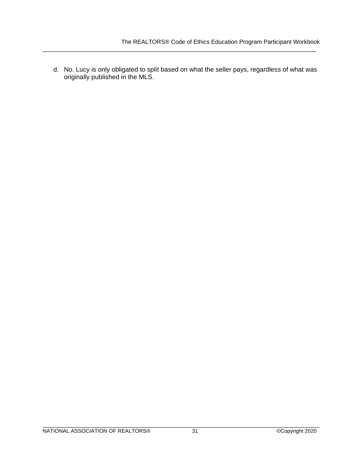d. No. Lucy is only obligated to split based on what the seller pays, regardless of what was originally published in the MLS.

\_\_\_\_\_\_\_\_\_\_\_\_\_\_\_\_\_\_\_\_\_\_\_\_\_\_\_\_\_\_\_\_\_\_\_\_\_\_\_\_\_\_\_\_\_\_\_\_\_\_\_\_\_\_\_\_\_\_\_\_\_\_\_\_\_\_\_\_\_\_\_\_\_\_\_\_\_\_\_\_\_\_\_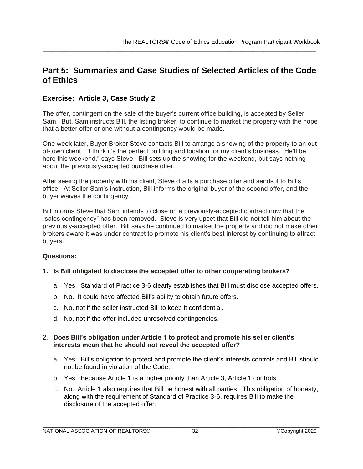\_\_\_\_\_\_\_\_\_\_\_\_\_\_\_\_\_\_\_\_\_\_\_\_\_\_\_\_\_\_\_\_\_\_\_\_\_\_\_\_\_\_\_\_\_\_\_\_\_\_\_\_\_\_\_\_\_\_\_\_\_\_\_\_\_\_\_\_\_\_\_\_\_\_\_\_\_\_\_\_\_\_\_

## **Exercise: Article 3, Case Study 2**

The offer, contingent on the sale of the buyer's current office building, is accepted by Seller Sam. But, Sam instructs Bill, the listing broker, to continue to market the property with the hope that a better offer or one without a contingency would be made.

One week later, Buyer Broker Steve contacts Bill to arrange a showing of the property to an outof-town client. "I think it's the perfect building and location for my client's business. He'll be here this weekend," says Steve. Bill sets up the showing for the weekend, but says nothing about the previously-accepted purchase offer.

After seeing the property with his client, Steve drafts a purchase offer and sends it to Bill's office. At Seller Sam's instruction, Bill informs the original buyer of the second offer, and the buyer waives the contingency.

Bill informs Steve that Sam intends to close on a previously-accepted contract now that the "sales contingency" has been removed. Steve is very upset that Bill did not tell him about the previously-accepted offer. Bill says he continued to market the property and did not make other brokers aware it was under contract to promote his client's best interest by continuing to attract buyers.

### **Questions:**

## **1. Is Bill obligated to disclose the accepted offer to other cooperating brokers?**

- a. Yes. Standard of Practice 3-6 clearly establishes that Bill must disclose accepted offers.
- b. No. It could have affected Bill's ability to obtain future offers.
- c. No, not if the seller instructed Bill to keep it confidential.
- d. No, not if the offer included unresolved contingencies.

### 2. **Does Bill's obligation under Article 1 to protect and promote his seller client's interests mean that he should not reveal the accepted offer?**

- a. Yes. Bill's obligation to protect and promote the client's interests controls and Bill should not be found in violation of the Code.
- b. Yes. Because Article 1 is a higher priority than Article 3, Article 1 controls.
- c. No. Article 1 also requires that Bill be honest with all parties. This obligation of honesty, along with the requirement of Standard of Practice 3-6, requires Bill to make the disclosure of the accepted offer.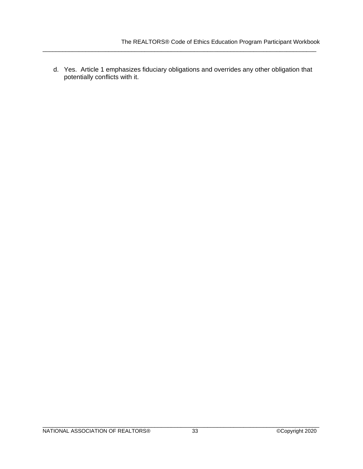d. Yes. Article 1 emphasizes fiduciary obligations and overrides any other obligation that potentially conflicts with it.

\_\_\_\_\_\_\_\_\_\_\_\_\_\_\_\_\_\_\_\_\_\_\_\_\_\_\_\_\_\_\_\_\_\_\_\_\_\_\_\_\_\_\_\_\_\_\_\_\_\_\_\_\_\_\_\_\_\_\_\_\_\_\_\_\_\_\_\_\_\_\_\_\_\_\_\_\_\_\_\_\_\_\_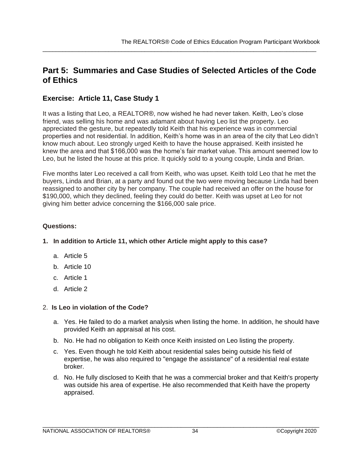\_\_\_\_\_\_\_\_\_\_\_\_\_\_\_\_\_\_\_\_\_\_\_\_\_\_\_\_\_\_\_\_\_\_\_\_\_\_\_\_\_\_\_\_\_\_\_\_\_\_\_\_\_\_\_\_\_\_\_\_\_\_\_\_\_\_\_\_\_\_\_\_\_\_\_\_\_\_\_\_\_\_\_

## **Exercise: Article 11, Case Study 1**

It was a listing that Leo, a REALTOR®, now wished he had never taken. Keith, Leo's close friend, was selling his home and was adamant about having Leo list the property. Leo appreciated the gesture, but repeatedly told Keith that his experience was in commercial properties and not residential. In addition, Keith's home was in an area of the city that Leo didn't know much about. Leo strongly urged Keith to have the house appraised. Keith insisted he knew the area and that \$166,000 was the home's fair market value. This amount seemed low to Leo, but he listed the house at this price. It quickly sold to a young couple, Linda and Brian.

Five months later Leo received a call from Keith, who was upset. Keith told Leo that he met the buyers, Linda and Brian, at a party and found out the two were moving because Linda had been reassigned to another city by her company. The couple had received an offer on the house for \$190,000, which they declined, feeling they could do better. Keith was upset at Leo for not giving him better advice concerning the \$166,000 sale price.

## **Questions:**

## **1. In addition to Article 11, which other Article might apply to this case?**

- a. Article 5
- b. Article 10
- c. Article 1
- d. Article 2

### 2. **Is Leo in violation of the Code?**

- a. Yes. He failed to do a market analysis when listing the home. In addition, he should have provided Keith an appraisal at his cost.
- b. No. He had no obligation to Keith once Keith insisted on Leo listing the property.
- c. Yes. Even though he told Keith about residential sales being outside his field of expertise, he was also required to "engage the assistance" of a residential real estate broker.
- d. No. He fully disclosed to Keith that he was a commercial broker and that Keith's property was outside his area of expertise. He also recommended that Keith have the property appraised.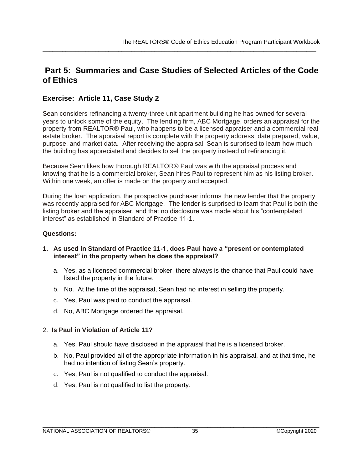\_\_\_\_\_\_\_\_\_\_\_\_\_\_\_\_\_\_\_\_\_\_\_\_\_\_\_\_\_\_\_\_\_\_\_\_\_\_\_\_\_\_\_\_\_\_\_\_\_\_\_\_\_\_\_\_\_\_\_\_\_\_\_\_\_\_\_\_\_\_\_\_\_\_\_\_\_\_\_\_\_\_\_

## **Exercise: Article 11, Case Study 2**

Sean considers refinancing a twenty-three unit apartment building he has owned for several years to unlock some of the equity. The lending firm, ABC Mortgage, orders an appraisal for the property from REALTOR® Paul, who happens to be a licensed appraiser and a commercial real estate broker. The appraisal report is complete with the property address, date prepared, value, purpose, and market data. After receiving the appraisal, Sean is surprised to learn how much the building has appreciated and decides to sell the property instead of refinancing it.

Because Sean likes how thorough REALTOR® Paul was with the appraisal process and knowing that he is a commercial broker, Sean hires Paul to represent him as his listing broker. Within one week, an offer is made on the property and accepted.

During the loan application, the prospective purchaser informs the new lender that the property was recently appraised for ABC Mortgage. The lender is surprised to learn that Paul is both the listing broker and the appraiser, and that no disclosure was made about his "contemplated interest" as established in Standard of Practice 11-1.

### **Questions:**

### **1. As used in Standard of Practice 11-1, does Paul have a "present or contemplated interest" in the property when he does the appraisal?**

- a. Yes, as a licensed commercial broker, there always is the chance that Paul could have listed the property in the future.
- b. No. At the time of the appraisal, Sean had no interest in selling the property.
- c. Yes, Paul was paid to conduct the appraisal.
- d. No, ABC Mortgage ordered the appraisal.

## 2. **Is Paul in Violation of Article 11?**

- a. Yes. Paul should have disclosed in the appraisal that he is a licensed broker.
- b. No, Paul provided all of the appropriate information in his appraisal, and at that time, he had no intention of listing Sean's property.
- c. Yes, Paul is not qualified to conduct the appraisal.
- d. Yes, Paul is not qualified to list the property.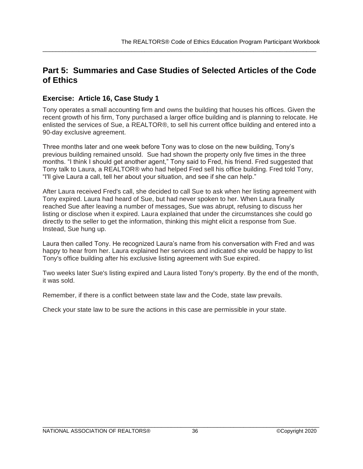\_\_\_\_\_\_\_\_\_\_\_\_\_\_\_\_\_\_\_\_\_\_\_\_\_\_\_\_\_\_\_\_\_\_\_\_\_\_\_\_\_\_\_\_\_\_\_\_\_\_\_\_\_\_\_\_\_\_\_\_\_\_\_\_\_\_\_\_\_\_\_\_\_\_\_\_\_\_\_\_\_\_\_

## **Exercise: Article 16, Case Study 1**

Tony operates a small accounting firm and owns the building that houses his offices. Given the recent growth of his firm, Tony purchased a larger office building and is planning to relocate. He enlisted the services of Sue, a REALTOR®, to sell his current office building and entered into a 90-day exclusive agreement.

Three months later and one week before Tony was to close on the new building, Tony's previous building remained unsold. Sue had shown the property only five times in the three months. "I think I should get another agent," Tony said to Fred, his friend. Fred suggested that Tony talk to Laura, a REALTOR® who had helped Fred sell his office building. Fred told Tony, "I'll give Laura a call, tell her about your situation, and see if she can help."

After Laura received Fred's call, she decided to call Sue to ask when her listing agreement with Tony expired. Laura had heard of Sue, but had never spoken to her. When Laura finally reached Sue after leaving a number of messages, Sue was abrupt, refusing to discuss her listing or disclose when it expired. Laura explained that under the circumstances she could go directly to the seller to get the information, thinking this might elicit a response from Sue. Instead, Sue hung up.

Laura then called Tony. He recognized Laura's name from his conversation with Fred and was happy to hear from her. Laura explained her services and indicated she would be happy to list Tony's office building after his exclusive listing agreement with Sue expired.

Two weeks later Sue's listing expired and Laura listed Tony's property. By the end of the month, it was sold.

Remember, if there is a conflict between state law and the Code, state law prevails.

Check your state law to be sure the actions in this case are permissible in your state.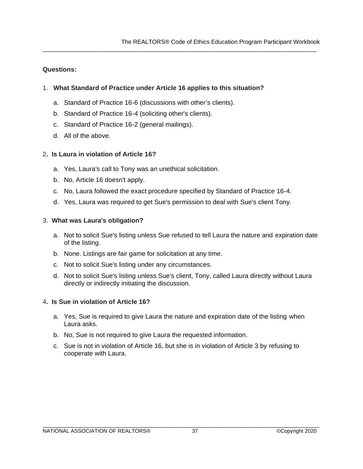## **Questions:**

## 1. **What Standard of Practice under Article 16 applies to this situation?**

\_\_\_\_\_\_\_\_\_\_\_\_\_\_\_\_\_\_\_\_\_\_\_\_\_\_\_\_\_\_\_\_\_\_\_\_\_\_\_\_\_\_\_\_\_\_\_\_\_\_\_\_\_\_\_\_\_\_\_\_\_\_\_\_\_\_\_\_\_\_\_\_\_\_\_\_\_\_\_\_\_\_\_

- a. Standard of Practice 16-6 (discussions with other's clients).
- b. Standard of Practice 16-4 (soliciting other's clients).
- c. Standard of Practice 16-2 (general mailings).
- d. All of the above.

### 2**. Is Laura in violation of Article 16?**

- a. Yes, Laura's call to Tony was an unethical solicitation.
- b. No, Article 16 doesn't apply.
- c. No, Laura followed the exact procedure specified by Standard of Practice 16-4.
- d. Yes, Laura was required to get Sue's permission to deal with Sue's client Tony.

### 3. **What was Laura's obligation?**

- a. Not to solicit Sue's listing unless Sue refused to tell Laura the nature and expiration date of the listing.
- b. None. Listings are fair game for solicitation at any time.
- c. Not to solicit Sue's listing under any circumstances.
- d. Not to solicit Sue's listing unless Sue's client, Tony, called Laura directly without Laura directly or indirectly initiating the discussion.

### 4**. Is Sue in violation of Article 16?**

- a. Yes, Sue is required to give Laura the nature and expiration date of the listing when Laura asks.
- b. No, Sue is not required to give Laura the requested information.
- c. Sue is not in violation of Article 16, but she is in violation of Article 3 by refusing to cooperate with Laura.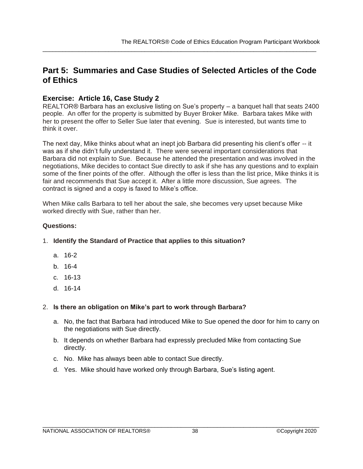\_\_\_\_\_\_\_\_\_\_\_\_\_\_\_\_\_\_\_\_\_\_\_\_\_\_\_\_\_\_\_\_\_\_\_\_\_\_\_\_\_\_\_\_\_\_\_\_\_\_\_\_\_\_\_\_\_\_\_\_\_\_\_\_\_\_\_\_\_\_\_\_\_\_\_\_\_\_\_\_\_\_\_

## **Exercise: Article 16, Case Study 2**

REALTOR® Barbara has an exclusive listing on Sue's property – a banquet hall that seats 2400 people. An offer for the property is submitted by Buyer Broker Mike. Barbara takes Mike with her to present the offer to Seller Sue later that evening. Sue is interested, but wants time to think it over.

The next day, Mike thinks about what an inept job Barbara did presenting his client's offer -- it was as if she didn't fully understand it. There were several important considerations that Barbara did not explain to Sue. Because he attended the presentation and was involved in the negotiations, Mike decides to contact Sue directly to ask if she has any questions and to explain some of the finer points of the offer. Although the offer is less than the list price, Mike thinks it is fair and recommends that Sue accept it. After a little more discussion, Sue agrees. The contract is signed and a copy is faxed to Mike's office.

When Mike calls Barbara to tell her about the sale, she becomes very upset because Mike worked directly with Sue, rather than her.

### **Questions:**

### 1. **Identify the Standard of Practice that applies to this situation?**

- a. 16-2
- b. 16-4
- c. 16-13
- d. 16-14

### 2. **Is there an obligation on Mike's part to work through Barbara?**

- a. No, the fact that Barbara had introduced Mike to Sue opened the door for him to carry on the negotiations with Sue directly.
- b. It depends on whether Barbara had expressly precluded Mike from contacting Sue directly.
- c. No. Mike has always been able to contact Sue directly.
- d. Yes. Mike should have worked only through Barbara, Sue's listing agent.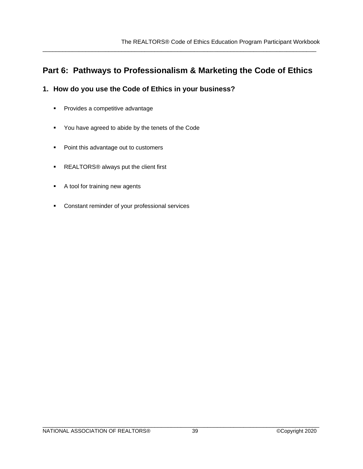## **Part 6: Pathways to Professionalism & Marketing the Code of Ethics**

\_\_\_\_\_\_\_\_\_\_\_\_\_\_\_\_\_\_\_\_\_\_\_\_\_\_\_\_\_\_\_\_\_\_\_\_\_\_\_\_\_\_\_\_\_\_\_\_\_\_\_\_\_\_\_\_\_\_\_\_\_\_\_\_\_\_\_\_\_\_\_\_\_\_\_\_\_\_\_\_\_\_\_

## **1. How do you use the Code of Ethics in your business?**

- Provides a competitive advantage
- You have agreed to abide by the tenets of the Code
- Point this advantage out to customers
- REALTORS<sup>®</sup> always put the client first
- A tool for training new agents
- Constant reminder of your professional services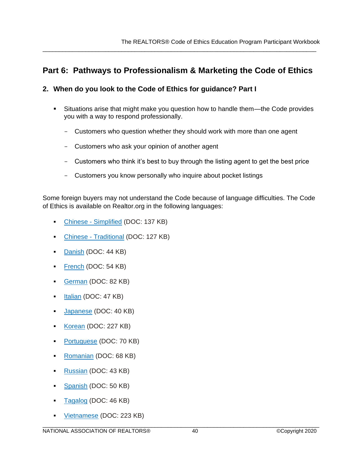## **Part 6: Pathways to Professionalism & Marketing the Code of Ethics**

\_\_\_\_\_\_\_\_\_\_\_\_\_\_\_\_\_\_\_\_\_\_\_\_\_\_\_\_\_\_\_\_\_\_\_\_\_\_\_\_\_\_\_\_\_\_\_\_\_\_\_\_\_\_\_\_\_\_\_\_\_\_\_\_\_\_\_\_\_\_\_\_\_\_\_\_\_\_\_\_\_\_\_

## **2. When do you look to the Code of Ethics for guidance? Part I**

- Situations arise that might make you question how to handle them—the Code provides you with a way to respond professionally.
	- Customers who question whether they should work with more than one agent
	- Customers who ask your opinion of another agent
	- Customers who think it's best to buy through the listing agent to get the best price
	- Customers you know personally who inquire about pocket listings

Some foreign buyers may not understand the Code because of language difficulties. The Code of Ethics is available on Realtor.org in the following languages:

- Chinese [Simplified](https://www.nar.realtor/sites/default/files/documents/2019-NAR-Code-Chinese-Simplified.doc) (DOC: 137 KB)
- Chinese [Traditional](https://www.nar.realtor/sites/default/files/documents/2019-NAR-Code-Chinese-Traditional.doc) (DOC: 127 KB)
- [Danish](https://www.nar.realtor/sites/default/files/documents/2019-NAR-Code-Danish.docx) (DOC: 44 KB)
- **•** [French](https://www.nar.realtor/sites/default/files/documents/2019-NAR-Code-French.docx) (DOC: 54 KB)
- [German](https://www.nar.realtor/sites/default/files/documents/2019-NAR-Code-German.docx) (DOC: 82 KB)
- [Italian](https://www.nar.realtor/sites/default/files/documents/2019-NAR-Code-Italian.docx) (DOC: 47 KB)
- [Japanese](https://www.nar.realtor/sites/default/files/documents/2019-NAR-Code-Japanese.docx) (DOC: 40 KB)
- [Korean](https://www.nar.realtor/sites/default/files/documents/2019-NAR-Code-Korean.doc) (DOC: 227 KB)
- [Portuguese](https://www.nar.realtor/sites/default/files/documents/2019-NAR-Code-Portuguese.docx) (DOC: 70 KB)
- [Romanian](https://www.nar.realtor/sites/default/files/documents/2019-NAR-Code-Romanian.docx) (DOC: 68 KB)
- [Russian](https://www.nar.realtor/sites/default/files/documents/2019-NAR-Code-Russian.docx) (DOC: 43 KB)
- [Spanish](https://www.nar.realtor/sites/default/files/documents/2019-NAR-Code-Spanish.docx) (DOC: 50 KB)
- [Tagalog](https://www.nar.realtor/sites/default/files/documents/2019-NAR-Code-Tagalog.docx) (DOC: 46 KB)
- [Vietnamese](https://www.nar.realtor/sites/default/files/documents/2019-NAR-Code-Vietnamese.doc) (DOC: 223 KB)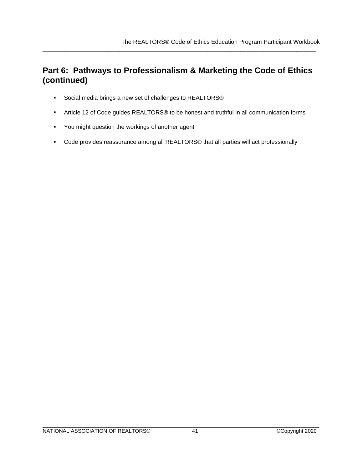## **Part 6: Pathways to Professionalism & Marketing the Code of Ethics (continued)**

\_\_\_\_\_\_\_\_\_\_\_\_\_\_\_\_\_\_\_\_\_\_\_\_\_\_\_\_\_\_\_\_\_\_\_\_\_\_\_\_\_\_\_\_\_\_\_\_\_\_\_\_\_\_\_\_\_\_\_\_\_\_\_\_\_\_\_\_\_\_\_\_\_\_\_\_\_\_\_\_\_\_\_

- Social media brings a new set of challenges to REALTORS<sup>®</sup>
- Article 12 of Code guides REALTORS<sup>®</sup> to be honest and truthful in all communication forms
- You might question the workings of another agent
- Code provides reassurance among all REALTORS<sup>®</sup> that all parties will act professionally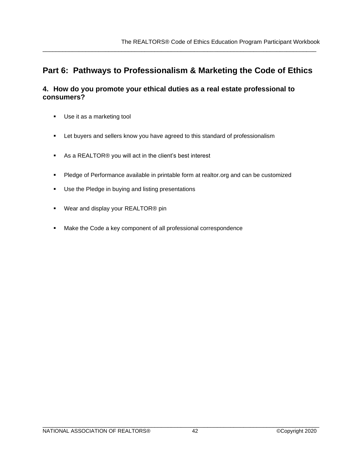## **Part 6: Pathways to Professionalism & Marketing the Code of Ethics**

\_\_\_\_\_\_\_\_\_\_\_\_\_\_\_\_\_\_\_\_\_\_\_\_\_\_\_\_\_\_\_\_\_\_\_\_\_\_\_\_\_\_\_\_\_\_\_\_\_\_\_\_\_\_\_\_\_\_\_\_\_\_\_\_\_\_\_\_\_\_\_\_\_\_\_\_\_\_\_\_\_\_\_

## **4. How do you promote your ethical duties as a real estate professional to consumers?**

- Use it as a marketing tool
- **EXECT** Let buyers and sellers know you have agreed to this standard of professionalism
- As a REALTOR<sup>®</sup> you will act in the client's best interest
- Pledge of Performance available in printable form at realtor.org and can be customized
- Use the Pledge in buying and listing presentations
- Wear and display your REALTOR<sup>®</sup> pin
- Make the Code a key component of all professional correspondence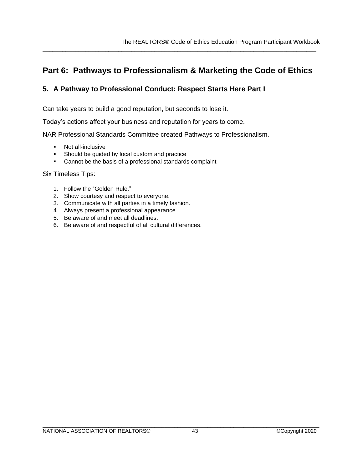## **Part 6: Pathways to Professionalism & Marketing the Code of Ethics**

\_\_\_\_\_\_\_\_\_\_\_\_\_\_\_\_\_\_\_\_\_\_\_\_\_\_\_\_\_\_\_\_\_\_\_\_\_\_\_\_\_\_\_\_\_\_\_\_\_\_\_\_\_\_\_\_\_\_\_\_\_\_\_\_\_\_\_\_\_\_\_\_\_\_\_\_\_\_\_\_\_\_\_

## **5. A Pathway to Professional Conduct: Respect Starts Here Part I**

Can take years to build a good reputation, but seconds to lose it.

Today's actions affect your business and reputation for years to come.

NAR Professional Standards Committee created Pathways to Professionalism.

- Not all-inclusive
- Should be guided by local custom and practice
- Cannot be the basis of a professional standards complaint

Six Timeless Tips:

- 1. Follow the "Golden Rule."
- 2. Show courtesy and respect to everyone.
- 3. Communicate with all parties in a timely fashion.
- 4. Always present a professional appearance.
- 5. Be aware of and meet all deadlines.
- 6. Be aware of and respectful of all cultural differences.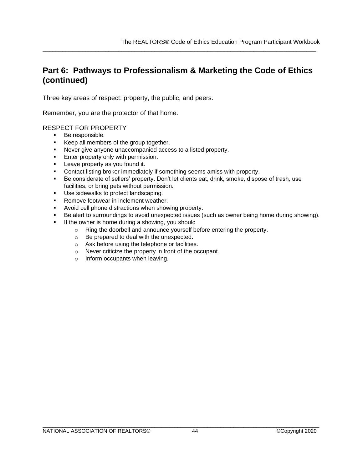## **Part 6: Pathways to Professionalism & Marketing the Code of Ethics (continued)**

\_\_\_\_\_\_\_\_\_\_\_\_\_\_\_\_\_\_\_\_\_\_\_\_\_\_\_\_\_\_\_\_\_\_\_\_\_\_\_\_\_\_\_\_\_\_\_\_\_\_\_\_\_\_\_\_\_\_\_\_\_\_\_\_\_\_\_\_\_\_\_\_\_\_\_\_\_\_\_\_\_\_\_

Three key areas of respect: property, the public, and peers.

Remember, you are the protector of that home.

### RESPECT FOR PROPERTY

- Be responsible.
- Keep all members of the group together.
- Never give anyone unaccompanied access to a listed property.
- **Enter property only with permission.**
- **EXECT:** Leave property as you found it.
- Contact listing broker immediately if something seems amiss with property.
- Be considerate of sellers' property. Don't let clients eat, drink, smoke, dispose of trash, use facilities, or bring pets without permission.
- **■** Use sidewalks to protect landscaping.
- Remove footwear in inclement weather.
- Avoid cell phone distractions when showing property.
- Be alert to surroundings to avoid unexpected issues (such as owner being home during showing).
- **.** If the owner is home during a showing, you should
	- o Ring the doorbell and announce yourself before entering the property.
	- o Be prepared to deal with the unexpected.
	- o Ask before using the telephone or facilities.
	- o Never criticize the property in front of the occupant.
	- o Inform occupants when leaving.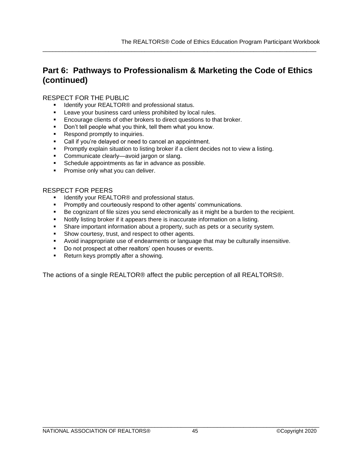## **Part 6: Pathways to Professionalism & Marketing the Code of Ethics (continued)**

\_\_\_\_\_\_\_\_\_\_\_\_\_\_\_\_\_\_\_\_\_\_\_\_\_\_\_\_\_\_\_\_\_\_\_\_\_\_\_\_\_\_\_\_\_\_\_\_\_\_\_\_\_\_\_\_\_\_\_\_\_\_\_\_\_\_\_\_\_\_\_\_\_\_\_\_\_\_\_\_\_\_\_

### RESPECT FOR THE PUBLIC

- Identify your REALTOR<sup>®</sup> and professional status.
- Leave your business card unless prohibited by local rules.
- **Encourage clients of other brokers to direct questions to that broker.**
- Don't tell people what you think, tell them what you know.
- Respond promptly to inquiries.
- Call if you're delayed or need to cancel an appointment.
- **•** Promptly explain situation to listing broker if a client decides not to view a listing.
- Communicate clearly—avoid jargon or slang.
- **EXEC** Schedule appointments as far in advance as possible.
- **•** Promise only what you can deliver.

### RESPECT FOR PEERS

- Identify your REALTOR<sup>®</sup> and professional status.
- Promptly and courteously respond to other agents' communications.
- Be cognizant of file sizes you send electronically as it might be a burden to the recipient.
- **EXECT** Notify listing broker if it appears there is inaccurate information on a listing.
- **•** Share important information about a property, such as pets or a security system.
- Show courtesy, trust, and respect to other agents.
- **■** Avoid inappropriate use of endearments or language that may be culturally insensitive.
- Do not prospect at other realtors' open houses or events.
- Return keys promptly after a showing.

The actions of a single REALTOR® affect the public perception of all REALTORS®.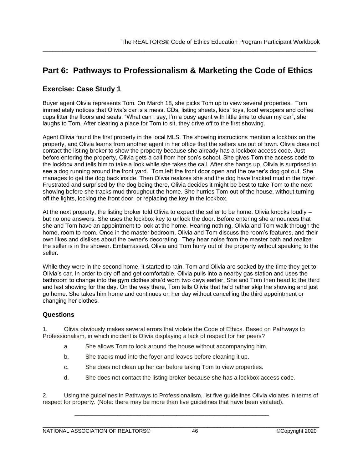## **Part 6: Pathways to Professionalism & Marketing the Code of Ethics**

\_\_\_\_\_\_\_\_\_\_\_\_\_\_\_\_\_\_\_\_\_\_\_\_\_\_\_\_\_\_\_\_\_\_\_\_\_\_\_\_\_\_\_\_\_\_\_\_\_\_\_\_\_\_\_\_\_\_\_\_\_\_\_\_\_\_\_\_\_\_\_\_\_\_\_\_\_\_\_\_\_\_\_

## **Exercise: Case Study 1**

Buyer agent Olivia represents Tom. On March 18, she picks Tom up to view several properties. Tom immediately notices that Olivia's car is a mess. CDs, listing sheets, kids' toys, food wrappers and coffee cups litter the floors and seats. "What can I say, I'm a busy agent with little time to clean my car", she laughs to Tom. After clearing a place for Tom to sit, they drive off to the first showing.

Agent Olivia found the first property in the local MLS. The showing instructions mention a lockbox on the property, and Olivia learns from another agent in her office that the sellers are out of town. Olivia does not contact the listing broker to show the property because she already has a lockbox access code. Just before entering the property, Olivia gets a call from her son's school. She gives Tom the access code to the lockbox and tells him to take a look while she takes the call. After she hangs up, Olivia is surprised to see a dog running around the front yard. Tom left the front door open and the owner's dog got out. She manages to get the dog back inside. Then Olivia realizes she and the dog have tracked mud in the foyer. Frustrated and surprised by the dog being there, Olivia decides it might be best to take Tom to the next showing before she tracks mud throughout the home. She hurries Tom out of the house, without turning off the lights, locking the front door, or replacing the key in the lockbox.

At the next property, the listing broker told Olivia to expect the seller to be home. Olivia knocks loudly – but no one answers. She uses the lockbox key to unlock the door. Before entering she announces that she and Tom have an appointment to look at the home. Hearing nothing, Olivia and Tom walk through the home, room to room. Once in the master bedroom, Olivia and Tom discuss the room's features, and their own likes and dislikes about the owner's decorating. They hear noise from the master bath and realize the seller is in the shower. Embarrassed, Olivia and Tom hurry out of the property without speaking to the seller.

While they were in the second home, it started to rain. Tom and Olivia are soaked by the time they get to Olivia's car. In order to dry off and get comfortable, Olivia pulls into a nearby gas station and uses the bathroom to change into the gym clothes she'd worn two days earlier. She and Tom then head to the third and last showing for the day. On the way there, Tom tells Olivia that he'd rather skip the showing and just go home. She takes him home and continues on her day without cancelling the third appointment or changing her clothes.

### **Questions**

1. Olivia obviously makes several errors that violate the Code of Ethics. Based on Pathways to Professionalism, in which incident is Olivia displaying a lack of respect for her peers?

- a. She allows Tom to look around the house without accompanying him.
- b. She tracks mud into the foyer and leaves before cleaning it up.
- c. She does not clean up her car before taking Tom to view properties.
- d. She does not contact the listing broker because she has a lockbox access code.

2. Using the guidelines in Pathways to Professionalism, list five guidelines Olivia violates in terms of respect for property. (Note: there may be more than five guidelines that have been violated).

\_\_\_\_\_\_\_\_\_\_\_\_\_\_\_\_\_\_\_\_\_\_\_\_\_\_\_\_\_\_\_\_\_\_\_\_\_\_\_\_\_\_\_\_\_\_\_\_\_\_\_\_\_\_\_\_\_\_\_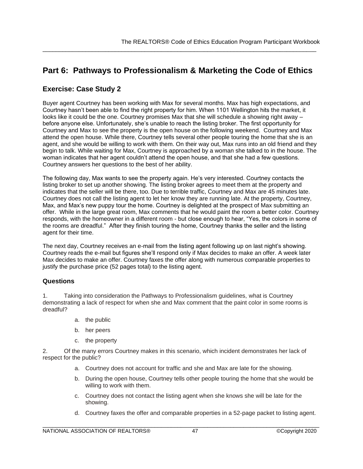## **Part 6: Pathways to Professionalism & Marketing the Code of Ethics**

\_\_\_\_\_\_\_\_\_\_\_\_\_\_\_\_\_\_\_\_\_\_\_\_\_\_\_\_\_\_\_\_\_\_\_\_\_\_\_\_\_\_\_\_\_\_\_\_\_\_\_\_\_\_\_\_\_\_\_\_\_\_\_\_\_\_\_\_\_\_\_\_\_\_\_\_\_\_\_\_\_\_\_

## **Exercise: Case Study 2**

Buyer agent Courtney has been working with Max for several months. Max has high expectations, and Courtney hasn't been able to find the right property for him. When 1101 Wellington hits the market, it looks like it could be the one. Courtney promises Max that she will schedule a showing right away – before anyone else. Unfortunately, she's unable to reach the listing broker. The first opportunity for Courtney and Max to see the property is the open house on the following weekend. Courtney and Max attend the open house. While there, Courtney tells several other people touring the home that she is an agent, and she would be willing to work with them. On their way out, Max runs into an old friend and they begin to talk. While waiting for Max, Courtney is approached by a woman she talked to in the house. The woman indicates that her agent couldn't attend the open house, and that she had a few questions. Courtney answers her questions to the best of her ability.

The following day, Max wants to see the property again. He's very interested. Courtney contacts the listing broker to set up another showing. The listing broker agrees to meet them at the property and indicates that the seller will be there, too. Due to terrible traffic, Courtney and Max are 45 minutes late. Courtney does not call the listing agent to let her know they are running late. At the property, Courtney, Max, and Max's new puppy tour the home. Courtney is delighted at the prospect of Max submitting an offer. While in the large great room, Max comments that he would paint the room a better color. Courtney responds, with the homeowner in a different room - but close enough to hear, "Yes, the colors in some of the rooms are dreadful." After they finish touring the home, Courtney thanks the seller and the listing agent for their time.

The next day, Courtney receives an e-mail from the listing agent following up on last night's showing. Courtney reads the e-mail but figures she'll respond only if Max decides to make an offer. A week later Max decides to make an offer. Courtney faxes the offer along with numerous comparable properties to justify the purchase price (52 pages total) to the listing agent.

### **Questions**

1. Taking into consideration the Pathways to Professionalism guidelines, what is Courtney demonstrating a lack of respect for when she and Max comment that the paint color in some rooms is dreadful?

- a. the public
- b. her peers
- c. the property

2. Of the many errors Courtney makes in this scenario, which incident demonstrates her lack of respect for the public?

- a. Courtney does not account for traffic and she and Max are late for the showing.
- b. During the open house, Courtney tells other people touring the home that she would be willing to work with them.
- c. Courtney does not contact the listing agent when she knows she will be late for the showing.
- d. Courtney faxes the offer and comparable properties in a 52-page packet to listing agent.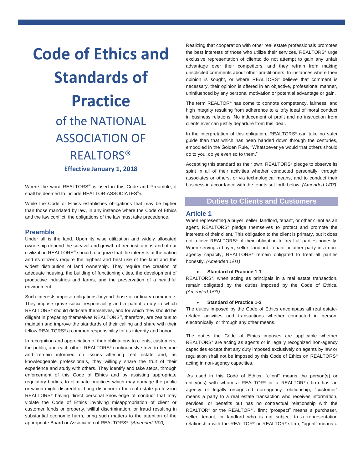# **Code of Ethics and Standards of Practice** of the NATIONAL ASSOCIATION OF REALTORS® **Effective January 1, 2018**

Where the word REALTORS<sup>®</sup> is used in this Code and Preamble, it shall be deemed to include REALTOR-ASSOCIATES®s.

While the Code of Ethics establishes obligations that may be higher than those mandated by law, in any instance where the Code of Ethics and the law conflict, the obligations of the law must take precedence.

### **Preamble**

Under all is the land. Upon its wise utilization and widely allocated ownership depend the survival and growth of free institutions and of our civilization REALTORS® should recognize that the interests of the nation and its citizens require the highest and best use of the land and the widest distribution of land ownership. They require the creation of adequate housing, the building of functioning cities, the development of productive industries and farms, and the preservation of a healthful environment.

Such interests impose obligations beyond those of ordinary commerce. They impose grave social responsibility and a patriotic duty to which REALTORS® should dedicate themselves, and for which they should be diligent in preparing themselves REALTORS® , therefore, are zealous to maintain and improve the standards of their calling and share with their fellow REALTORS® a common responsibility for its integrity and honor.

In recognition and appreciation of their obligations to clients, customers, the public, and each other, REALTORS® continuously strive to become and remain informed on issues affecting real estate and, as knowledgeable professionals, they willingly share the fruit of their experience and study with others. They identify and take steps, through enforcement of this Code of Ethics and by assisting appropriate regulatory bodies, to eliminate practices which may damage the public or which might discredit or bring dishonor to the real estate profession REALTORS® having direct personal knowledge of conduct that may violate the Code of Ethics involving misappropriation of client or customer funds or property, willful discrimination, or fraud resulting in substantial economic harm, bring such matters to the attention of the appropriate Board or Association of REALTORS® . *(Amended 1/00)*

Realizing that cooperation with other real estate professionals promotes the best interests of those who utilize their services, REALTORS® urge exclusive representation of clients; do not attempt to gain any unfair advantage over their competitors; and they refrain from making unsolicited comments about other practitioners. In instances where their opinion is sought, or where REALTORS® believe that comment is necessary, their opinion is offered in an objective, professional manner, uninfluenced by any personal motivation or potential advantage or gain.

The term REALTOR® has come to connote competency, fairness, and high integrity resulting from adherence to a lofty ideal of moral conduct in business relations. No inducement of profit and no instruction from clients ever can justify departure from this ideal.

In the interpretation of this obligation, REALTORS® can take no safer guide than that which has been handed down through the centuries, embodied in the Golden Rule, "Whatsoever ye would that others should do to you, do ye even so to them."

Accepting this standard as their own, REALTORS® pledge to observe its spirit in all of their activities whether conducted personally, through associates or others, or via technological means, and to conduct their business in accordance with the tenets set forth below. *(Amended 1/07)*

### **Duties to Clients and Customers**

### **Article 1**

When representing a buyer, seller, landlord, tenant, or other client as an agent, REALTORS® pledge themselves to protect and promote the interests of their client. This obligation to the client is primary, but it does not relieve REALTORS® of their obligation to treat all parties honestly. When serving a buyer, seller, landlord, tenant or other party in a nonagency capacity, REALTORS<sup>®</sup> remain obligated to treat all parties honestly. *(Amended 1/01)*

#### • **Standard of Practice 1-1**

REALTORS® , when acting as principals in a real estate transaction, remain obligated by the duties imposed by the Code of Ethics. *(Amended 1/93)*

### • **Standard of Practice 1-2**

The duties imposed by the Code of Ethics encompass all real estaterelated activities and transactions whether conducted in person, electronically, or through any other means.

The duties the Code of Ethics imposes are applicable whether REALTORS® are acting as agents or in legally recognized non-agency capacities except that any duty imposed exclusively on agents by law or regulation shall not be imposed by this Code of Ethics on REALTORS® acting in non-agency capacities.

As used in this Code of Ethics, "client" means the person(s) or entity(ies) with whom a REALTOR® or a REALTOR® 's firm has an agency or legally recognized non-agency relationship; "customer" means a party to a real estate transaction who receives information, services, or benefits but has no contractual relationship with the REALTOR<sup>®</sup> or the REALTOR<sup>®</sup>'s firm; "prospect" means a purchaser, seller, tenant, or landlord who is not subject to a representation relationship with the REALTOR® or REALTOR® 's firm; "agent" means a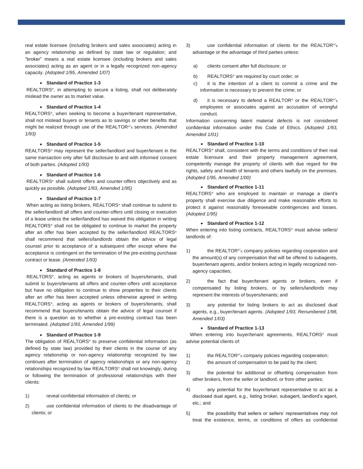real estate licensee (including brokers and sales associates) acting in an agency relationship as defined by state law or regulation; and "broker" means a real estate licensee (including brokers and sales associates) acting as an agent or in a legally recognized non-agency capacity. *(Adopted 1/95, Amended 1/07)*

### • **Standard of Practice 1-3**

REALTORS® , in attempting to secure a listing, shall not deliberately mislead the owner as to market value.

### • **Standard of Practice 1-4**

REALTORS® , when seeking to become a buyer/tenant representative, shall not mislead buyers or tenants as to savings or other benefits that might be realized through use of the REALTOR® 's services. *(Amended 1/93)*

### • **Standard of Practice 1-5**

REALTORS® may represent the seller/landlord and buyer/tenant in the same transaction only after full disclosure to and with informed consent of both parties. *(Adopted 1/93)*

### • **Standard of Practice 1-6**

REALTORS® shall submit offers and counter-offers objectively and as quickly as possible. *(Adopted 1/93, Amended 1/95)*

### • **Standard of Practice 1-7**

When acting as listing brokers, REALTORS<sup>®</sup> shall continue to submit to the seller/landlord all offers and counter-offers until closing or execution of a lease unless the seller/landlord has waived this obligation in writing REALTORS® shall not be obligated to continue to market the property after an offer has been accepted by the seller/landlord REALTORS® shall recommend that sellers/landlords obtain the advice of legal counsel prior to acceptance of a subsequent offer except where the acceptance is contingent on the termination of the pre-existing purchase contract or lease. *(Amended 1/93)*

#### • **Standard of Practice 1-8**

REALTORS® , acting as agents or brokers of buyers/tenants, shall submit to buyers/tenants all offers and counter-offers until acceptance but have no obligation to continue to show properties to their clients after an offer has been accepted unless otherwise agreed in writing REALTORS® , acting as agents or brokers of buyers/tenants, shall recommend that buyers/tenants obtain the advice of legal counsel if there is a question as to whether a pre-existing contract has been terminated. *(Adopted 1/93, Amended 1/99)*

### • **Standard of Practice 1-9**

The obligation of REALTORS® to preserve confidential information (as defined by state law) provided by their clients in the course of any agency relationship or non-agency relationship recognized by law continues after termination of agency relationships or any non-agency relationships recognized by law REALTORS® shall not knowingly, during or following the termination of professional relationships with their clients:

#### 1) reveal confidential information of clients; or

2) use confidential information of clients to the disadvantage of clients; or

- 3) use confidential information of clients for the REALTOR<sup>®</sup>'s advantage or the advantage of third parties unless:
	- a) clients consent after full disclosure; or
	- b) REALTORS<sup>®</sup> are required by court order; or
	- c) it is the intention of a client to commit a crime and the information is necessary to prevent the crime; or
	- d) it is necessary to defend a REALTOR® or the REALTOR® 's employees or associates against an accusation of wrongful conduct.

Information concerning latent material defects is not considered confidential information under this Code of Ethics. *(Adopted 1/93, Amended 1/01)*

### • **Standard of Practice 1-10**

REALTORS® shall, consistent with the terms and conditions of their real estate licensure and their property management agreement, competently manage the property of clients with due regard for the rights, safety and health of tenants and others lawfully on the premises. *(Adopted 1/95, Amended 1/00)*

### • **Standard of Practice 1-11**

REALTORS® who are employed to maintain or manage a client's property shall exercise due diligence and make reasonable efforts to protect it against reasonably foreseeable contingencies and losses. *(Adopted 1/95)*

#### • **Standard of Practice 1-12**

When entering into listing contracts, REALTORS<sup>®</sup> must advise sellers/ landlords of:

- 1) the REALTOR<sup>®'</sup>s company policies regarding cooperation and the amount(s) of any compensation that will be offered to subagents, buyer/tenant agents, and/or brokers acting in legally recognized nonagency capacities;
- 2) the fact that buyer/tenant agents or brokers, even if compensated by listing brokers, or by sellers/landlords may represent the interests of buyers/tenants; and
- 3) any potential for listing brokers to act as disclosed dual agents, e.g., buyer/tenant agents. *(Adopted 1/93, Renumbered 1/98, Amended 1/03)*

#### • **Standard of Practice 1-13**

When entering into buyer/tenant agreements, REALTORS<sup>®</sup> must advise potential clients of:

- 1) the REALTOR<sup>®</sup>'s company policies regarding cooperation;
- 2) the amount of compensation to be paid by the client;
- 3) the potential for additional or offsetting compensation from other brokers, from the seller or landlord, or from other parties;
- 4) any potential for the buyer/tenant representative to act as a disclosed dual agent, e.g., listing broker, subagent, landlord's agent, etc.; and
- 5) the possibility that sellers or sellers' representatives may not treat the existence, terms, or conditions of offers as confidential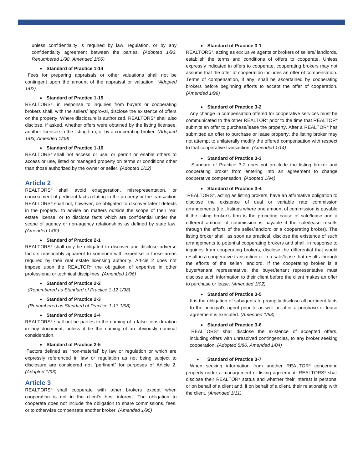unless confidentiality is required by law, regulation, or by any confidentiality agreement between the parties. *(Adopted 1/93, Renumbered 1/98, Amended 1/06)*

#### • **Standard of Practice 1-14**

 Fees for preparing appraisals or other valuations shall not be contingent upon the amount of the appraisal or valuation. *(Adopted 1/02)*

#### • **Standard of Practice 1-15**

REALTORS® , in response to inquiries from buyers or cooperating brokers shall, with the sellers' approval, disclose the existence of offers on the property. Where disclosure is authorized, REALTORS® shall also disclose, if asked, whether offers were obtained by the listing licensee, another licensee in the listing firm, or by a cooperating broker. *(Adopted 1/03, Amended 1/09)*

#### • **Standard of Practice 1-16**

REALTORS® shall not access or use, or permit or enable others to access or use, listed or managed property on terms or conditions other than those authorized by the owner or seller. *(Adopted 1/12)*

### **Article 2**

REALTORS® shall avoid exaggeration, misrepresentation, or concealment of pertinent facts relating to the property or the transaction REALTORS® shall not, however, be obligated to discover latent defects in the property, to advise on matters outside the scope of their real estate license, or to disclose facts which are confidential under the scope of agency or non-agency relationships as defined by state law. *(Amended 1/00)*

### • **Standard of Practice 2-1**

REALTORS® shall only be obligated to discover and disclose adverse factors reasonably apparent to someone with expertise in those areas required by their real estate licensing authority. Article 2 does not impose upon the REALTOR® the obligation of expertise in other professional or technical disciplines. *(Amended 1/96)*

### • **Standard of Practice 2-2**

*(Renumbered as Standard of Practice 1-12 1/98)*

### • **Standard of Practice 2-3**

*(Renumbered as Standard of Practice 1-13 1/98)*

#### • **Standard of Practice 2-4**

REALTORS® shall not be parties to the naming of a false consideration in any document, unless it be the naming of an obviously nominal consideration.

### • **Standard of Practice 2-5**

Factors defined as "non-material" by law or regulation or which are expressly referenced in law or regulation as not being subject to disclosure are considered not "pertinent" for purposes of Article 2. *(Adopted 1/93)*

### **Article 3**

REALTORS® shall cooperate with other brokers except when cooperation is not in the client's best interest. The obligation to cooperate does not include the obligation to share commissions, fees, or to otherwise compensate another broker. *(Amended 1/95)*

### • **Standard of Practice 3-1**

REALTORS® , acting as exclusive agents or brokers of sellers/ landlords, establish the terms and conditions of offers to cooperate. Unless expressly indicated in offers to cooperate, cooperating brokers may not assume that the offer of cooperation includes an offer of compensation. Terms of compensation, if any, shall be ascertained by cooperating brokers before beginning efforts to accept the offer of cooperation. *(Amended 1/99)*

### • **Standard of Practice 3-2**

 Any change in compensation offered for cooperative services must be communicated to the other REALTOR® prior to the time that REALTOR® submits an offer to purchase/lease the property. After a REALTOR® has submitted an offer to purchase or lease property, the listing broker may not attempt to unilaterally modify the offered compensation with respect to that cooperative transaction. *(Amended 1/14)*

### • **Standard of Practice 3-3**

 Standard of Practice 3-2 does not preclude the listing broker and cooperating broker from entering into an agreement to change cooperative compensation. *(Adopted 1/94)*

### • **Standard of Practice 3-4**

REALTORS® , acting as listing brokers, have an affirmative obligation to disclose the existence of dual or variable rate commission arrangements (i.e., listings where one amount of commission is payable if the listing broker's firm is the procuring cause of sale/lease and a different amount of commission is payable if the sale/lease results through the efforts of the seller/landlord or a cooperating broker). The listing broker shall, as soon as practical, disclose the existence of such arrangements to potential cooperating brokers and shall, in response to inquiries from cooperating brokers, disclose the differential that would result in a cooperative transaction or in a sale/lease that results through the efforts of the seller/ landlord. If the cooperating broker is a buyer/tenant representative, the buyer/tenant representative must disclose such information to their client before the client makes an offer to purchase or lease. *(Amended 1/02)*

#### • **Standard of Practice 3-5**

It is the obligation of subagents to promptly disclose all pertinent facts to the principal's agent prior to as well as after a purchase or lease agreement is executed. *(Amended 1/93)*

#### • **Standard of Practice 3-6**

REALTORS® shall disclose the existence of accepted offers, including offers with unresolved contingencies, to any broker seeking cooperation. *(Adopted 5/86, Amended 1/04)*

#### • **Standard of Practice 3-7**

When seeking information from another REALTOR<sup>®</sup> concerning property under a management or listing agreement, REALTORS® shall disclose their REALTOR® status and whether their interest is personal or on behalf of a client and, if on behalf of a client, their relationship with the client. *(Amended 1/11)*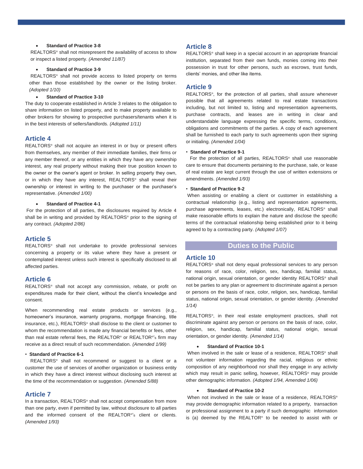### • **Standard of Practice 3-8**

REALTORS® shall not misrepresent the availability of access to show or inspect a listed property. *(Amended 11/87)*

### • **Standard of Practice 3-9**

REALTORS<sup>®</sup> shall not provide access to listed property on terms other than those established by the owner or the listing broker. *(Adopted 1/10)*

### • **Standard of Practice 3-10**

The duty to cooperate established in Article 3 relates to the obligation to share information on listed property, and to make property available to other brokers for showing to prospective purchasers/tenants when it is in the best interests of sellers/landlords. *(Adopted 1/11)*

### **Article 4**

REALTORS® shall not acquire an interest in or buy or present offers from themselves, any member of their immediate families, their firms or any member thereof, or any entities in which they have any ownership interest, any real property without making their true position known to the owner or the owner's agent or broker. In selling property they own, or in which they have any interest, REALTORS® shall reveal their ownership or interest in writing to the purchaser or the purchaser's representative. *(Amended 1/00)*

### • **Standard of Practice 4-1**

For the protection of all parties, the disclosures required by Article 4 shall be in writing and provided by REALTORS<sup>®</sup> prior to the signing of any contract. *(Adopted 2/86)*

### **Article 5**

REALTORS® shall not undertake to provide professional services concerning a property or its value where they have a present or contemplated interest unless such interest is specifically disclosed to all affected parties.

### **Article 6**

REALTORS® shall not accept any commission, rebate, or profit on expenditures made for their client, without the client's knowledge and consent.

When recommending real estate products or services (e.g., homeowner's insurance, warranty programs, mortgage financing, title insurance, etc.), REALTORS® shall disclose to the client or customer to whom the recommendation is made any financial benefits or fees, other than real estate referral fees, the REALTOR® or REALTOR® 's firm may receive as a direct result of such recommendation. *(Amended 1/99)*

### • **Standard of Practice 6-1**

 REALTORS® shall not recommend or suggest to a client or a customer the use of services of another organization or business entity in which they have a direct interest without disclosing such interest at the time of the recommendation or suggestion. *(Amended 5/88)*

### **Article 7**

In a transaction, REALTORS® shall not accept compensation from more than one party, even if permitted by law, without disclosure to all parties and the informed consent of the REALTOR® 's client or clients. *(Amended 1/93)*

### **Article 8**

REALTORS® shall keep in a special account in an appropriate financial institution, separated from their own funds, monies coming into their possession in trust for other persons, such as escrows, trust funds, clients' monies, and other like items.

### **Article 9**

REALTORS® , for the protection of all parties, shall assure whenever possible that all agreements related to real estate transactions including, but not limited to, listing and representation agreements, purchase contracts, and leases are in writing in clear and understandable language expressing the specific terms, conditions, obligations and commitments of the parties. A copy of each agreement shall be furnished to each party to such agreements upon their signing or initialing. *(Amended 1/04)*

### • **Standard of Practice 9-1**

For the protection of all parties, REALTORS<sup>®</sup> shall use reasonable care to ensure that documents pertaining to the purchase, sale, or lease of real estate are kept current through the use of written extensions or amendments. *(Amended 1/93)*

### • **Standard of Practice 9-2**

When assisting or enabling a client or customer in establishing a contractual relationship (e.g., listing and representation agreements, purchase agreements, leases, etc.) electronically, REALTORS® shall make reasonable efforts to explain the nature and disclose the specific terms of the contractual relationship being established prior to it being agreed to by a contracting party. *(Adopted 1/07)*

### **Duties to the Public**

### **Article 10**

REALTORS® shall not deny equal professional services to any person for reasons of race, color, religion, sex, handicap, familial status, national origin, sexual orientation, or gender identity REALTORS® shall not be parties to any plan or agreement to discriminate against a person or persons on the basis of race, color, religion, sex, handicap, familial status, national origin, sexual orientation, or gender identity. *(Amended 1/14)*

REALTORS® , in their real estate employment practices, shall not discriminate against any person or persons on the basis of race, color, religion, sex, handicap, familial status, national origin, sexual orientation, or gender identity. *(Amended 1/14)*

#### • **Standard of Practice 10-1**

When involved in the sale or lease of a residence, REALTORS<sup>®</sup> shall not volunteer information regarding the racial, religious or ethnic composition of any neighborhood nor shall they engage in any activity which may result in panic selling, however, REALTORS® may provide other demographic information. *(Adopted 1/94, Amended 1/06)*

### • **Standard of Practice 10-2**

When not involved in the sale or lease of a residence, REALTORS® may provide demographic information related to a property, transaction or professional assignment to a party if such demographic information is (a) deemed by the REALTOR® to be needed to assist with or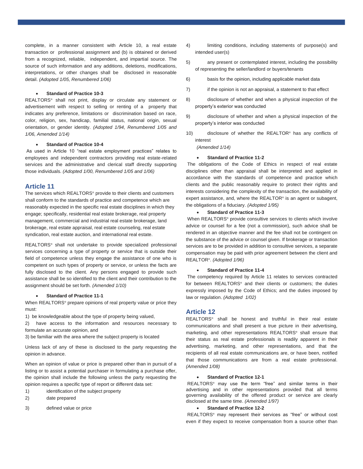complete, in a manner consistent with Article 10, a real estate transaction or professional assignment and (b) is obtained or derived from a recognized, reliable, independent, and impartial source. The source of such information and any additions, deletions, modifications, interpretations, or other changes shall be disclosed in reasonable detail. *(Adopted 1/05, Renumbered 1/06)*

#### • **Standard of Practice 10-3**

REALTORS® shall not print, display or circulate any statement or advertisement with respect to selling or renting of a property that indicates any preference, limitations or discrimination based on race, color, religion, sex, handicap, familial status, national origin, sexual orientation, or gender identity. *(Adopted 1/94, Renumbered 1/05 and 1/06, Amended 1/14)*

#### • **Standard of Practice 10-4**

As used in Article 10 "real estate employment practices" relates to employees and independent contractors providing real estate-related services and the administrative and clerical staff directly supporting those individuals. *(Adopted 1/00, Renumbered 1/05 and 1/06)*

### **Article 11**

The services which REALTORS® provide to their clients and customers shall conform to the standards of practice and competence which are reasonably expected in the specific real estate disciplines in which they engage; specifically, residential real estate brokerage, real property management, commercial and industrial real estate brokerage, land brokerage, real estate appraisal, real estate counseling, real estate syndication, real estate auction, and international real estate.

REALTORS® shall not undertake to provide specialized professional services concerning a type of property or service that is outside their field of competence unless they engage the assistance of one who is competent on such types of property or service, or unless the facts are fully disclosed to the client. Any persons engaged to provide such assistance shall be so identified to the client and their contribution to the assignment should be set forth. *(Amended 1/10)*

### • **Standard of Practice 11-1**

When REALTORS<sup>®</sup> prepare opinions of real property value or price they must:

1) be knowledgeable about the type of property being valued,

2) have access to the information and resources necessary to formulate an accurate opinion, and

3) be familiar with the area where the subject property is located

Unless lack of any of these is disclosed to the party requesting the opinion in advance.

When an opinion of value or price is prepared other than in pursuit of a listing or to assist a potential purchaser in formulating a purchase offer, the opinion shall include the following unless the party requesting the opinion requires a specific type of report or different data set:

- 1) identification of the subject property
- 2) date prepared
- 3) defined value or price
- 4) limiting conditions, including statements of purpose(s) and intended user(s)
- 5) any present or contemplated interest, including the possibility of representing the seller/landlord or buyers/tenants
- 6) basis for the opinion, including applicable market data
- 7) if the opinion is not an appraisal, a statement to that effect
- 8) disclosure of whether and when a physical inspection of the property's exterior was conducted
- 9) disclosure of whether and when a physical inspection of the property's interior was conducted
- 10) disclosure of whether the REALTOR® has any conflicts of interest

*(Amended 1/14)*

### • **Standard of Practice 11-2**

The obligations of the Code of Ethics in respect of real estate disciplines other than appraisal shall be interpreted and applied in accordance with the standards of competence and practice which clients and the public reasonably require to protect their rights and interests considering the complexity of the transaction, the availability of expert assistance, and, where the REALTOR® is an agent or subagent, the obligations of a fiduciary. *(Adopted 1/95)*

#### • **Standard of Practice 11-3**

When REALTORS® provide consultive services to clients which involve advice or counsel for a fee (not a commission), such advice shall be rendered in an objective manner and the fee shall not be contingent on the substance of the advice or counsel given. If brokerage or transaction services are to be provided in addition to consultive services, a separate compensation may be paid with prior agreement between the client and REALTOR® . *(Adopted 1/96)*

#### • **Standard of Practice 11-4**

The competency required by Article 11 relates to services contracted for between REALTORS<sup>®</sup> and their clients or customers; the duties expressly imposed by the Code of Ethics; and the duties imposed by law or regulation. *(Adopted 1/02)*

### **Article 12**

REALTORS® shall be honest and truthful in their real estate communications and shall present a true picture in their advertising, marketing, and other representations REALTORS® shall ensure that their status as real estate professionals is readily apparent in their advertising, marketing, and other representations, and that the recipients of all real estate communications are, or have been, notified that those communications are from a real estate professional. *(Amended 1/08)*

### • **Standard of Practice 12-1**

REALTORS® may use the term "free" and similar terms in their advertising and in other representations provided that all terms governing availability of the offered product or service are clearly disclosed at the same time. *(Amended 1/97)*

### • **Standard of Practice 12-2**

REALTORS® may represent their services as "free" or without cost even if they expect to receive compensation from a source other than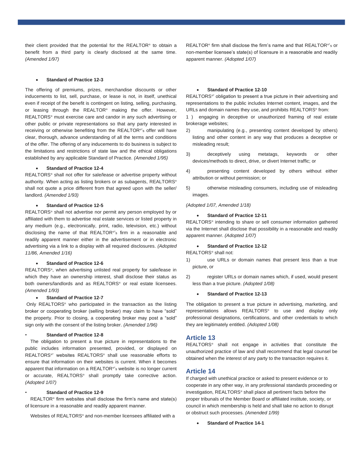their client provided that the potential for the REALTOR® to obtain a benefit from a third party is clearly disclosed at the same time. *(Amended 1/97)*

#### • **Standard of Practice 12-3**

The offering of premiums, prizes, merchandise discounts or other inducements to list, sell, purchase, or lease is not, in itself, unethical even if receipt of the benefit is contingent on listing, selling, purchasing, or leasing through the REALTOR® making the offer. However, REALTORS® must exercise care and candor in any such advertising or other public or private representations so that any party interested in receiving or otherwise benefiting from the REALTOR® 's offer will have clear, thorough, advance understanding of all the terms and conditions of the offer. The offering of any inducements to do business is subject to the limitations and restrictions of state law and the ethical obligations established by any applicable Standard of Practice. *(Amended 1/95)*

#### • **Standard of Practice 12-4**

REALTORS® shall not offer for sale/lease or advertise property without authority. When acting as listing brokers or as subagents, REALTORS® shall not quote a price different from that agreed upon with the seller/ landlord. *(Amended 1/93)*

#### • **Standard of Practice 12-5**

REALTORS® shall not advertise nor permit any person employed by or affiliated with them to advertise real estate services or listed property in any medium (e.g., electronically, print, radio, television, etc.) without disclosing the name of that REALTOR® 's firm in a reasonable and readily apparent manner either in the advertisement or in electronic advertising via a link to a display with all required disclosures. *(Adopted 11/86, Amended 1/16)*

### • **Standard of Practice 12-6**

REALTORS® , when advertising unlisted real property for sale/lease in which they have an ownership interest, shall disclose their status as both owners/landlords and as REALTORS® or real estate licensees. *(Amended 1/93)*

#### • **Standard of Practice 12-7**

Only REALTORS® who participated in the transaction as the listing broker or cooperating broker (selling broker) may claim to have "sold" the property. Prior to closing, a cooperating broker may post a "sold" sign only with the consent of the listing broker. *(Amended 1/96)*

### • **Standard of Practice 12-8**

 The obligation to present a true picture in representations to the public includes information presented, provided, or displayed on REALTORS® ' websites REALTORS® shall use reasonable efforts to ensure that information on their websites is current. When it becomes apparent that information on a REALTOR® 's website is no longer current or accurate, REALTORS® shall promptly take corrective action. *(Adopted 1/07)*

### • **Standard of Practice 12-9**

 REALTOR® firm websites shall disclose the firm's name and state(s) of licensure in a reasonable and readily apparent manner.

Websites of REALTORS® and non-member licensees affiliated with a

REALTOR<sup>®</sup> firm shall disclose the firm's name and that REALTOR<sup>®</sup>'s or non-member licensee's state(s) of licensure in a reasonable and readily apparent manner. *(Adopted 1/07)*

#### • **Standard of Practice 12-10**

REALTORS<sup>®</sup> obligation to present a true picture in their advertising and representations to the public includes Internet content, images, and the URLs and domain names they use, and prohibits REALTORS® from:

1 ) engaging in deceptive or unauthorized framing of real estate brokerage websites;

- 2) manipulating (e.g., presenting content developed by others) listing and other content in any way that produces a deceptive or misleading result;
- 3) deceptively using metatags, keywords or other devices/methods to direct, drive, or divert Internet traffic; or
- 4) presenting content developed by others without either attribution or without permission; or
- 5) otherwise misleading consumers, including use of misleading images.

### *(Adopted 1/07, Amended 1/18)*

### • **Standard of Practice 12-11**

REALTORS® intending to share or sell consumer information gathered via the Internet shall disclose that possibility in a reasonable and readily apparent manner. *(Adopted 1/07)*

### • **Standard of Practice 12-12**

### REALTORS® shall not:

- 1) use URLs or domain names that present less than a true picture, or
- 2) register URLs or domain names which, if used, would present less than a true picture. *(Adopted 1/08)*

#### • **Standard of Practice 12-13**

The obligation to present a true picture in advertising, marketing, and representations allows REALTORS® to use and display only professional designations, certifications, and other credentials to which they are legitimately entitled. *(Adopted 1/08)*

### **Article 13**

REALTORS® shall not engage in activities that constitute the unauthorized practice of law and shall recommend that legal counsel be obtained when the interest of any party to the transaction requires it.

### **Article 14**

If charged with unethical practice or asked to present evidence or to cooperate in any other way, in any professional standards proceeding or investigation, REALTORS® shall place all pertinent facts before the proper tribunals of the Member Board or affiliated institute, society, or council in which membership is held and shall take no action to disrupt or obstruct such processes. *(Amended 1/99)*

• **Standard of Practice 14-1**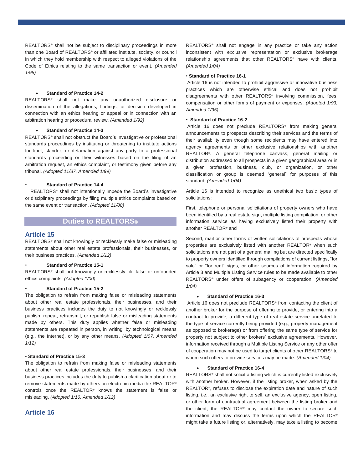REALTORS® shall not be subject to disciplinary proceedings in more than one Board of REALTORS® or affiliated institute, society, or council in which they hold membership with respect to alleged violations of the Code of Ethics relating to the same transaction or event. *(Amended 1/95)*

#### • **Standard of Practice 14-2**

REALTORS® shall not make any unauthorized disclosure or dissemination of the allegations, findings, or decision developed in connection with an ethics hearing or appeal or in connection with an arbitration hearing or procedural review. *(Amended 1/92)*

### • **Standard of Practice 14-3**

REALTORS® shall not obstruct the Board's investigative or professional standards proceedings by instituting or threatening to institute actions for libel, slander, or defamation against any party to a professional standards proceeding or their witnesses based on the filing of an arbitration request, an ethics complaint, or testimony given before any tribunal. *(Adopted 11/87, Amended 1/99)*

### • **Standard of Practice 14-4**

 REALTORS® shall not intentionally impede the Board's investigative or disciplinary proceedings by filing multiple ethics complaints based on the same event or transaction. *(Adopted 11/88)*

### **Duties to REALTORS®**

### **Article 15**

REALTORS® shall not knowingly or recklessly make false or misleading statements about other real estate professionals, their businesses, or their business practices. *(Amended 1/12)*

#### • **Standard of Practice 15-1**

REALTORS® shall not knowingly or recklessly file false or unfounded ethics complaints. *(Adopted 1/00)*

#### • **Standard of Practice 15-2**

The obligation to refrain from making false or misleading statements about other real estate professionals, their businesses, and their business practices includes the duty to not knowingly or recklessly publish, repeat, retransmit, or republish false or misleading statements made by others. This duty applies whether false or misleading statements are repeated in person, in writing, by technological means (e.g., the Internet), or by any other means. *(Adopted 1/07, Amended 1/12)*

### • **Standard of Practice 15-3**

The obligation to refrain from making false or misleading statements about other real estate professionals, their businesses, and their business practices includes the duty to publish a clarification about or to remove statements made by others on electronic media the REALTOR® controls once the REALTOR® knows the statement is false or misleading. *(Adopted 1/10, Amended 1/12)*

### **Article 16**

REALTORS® shall not engage in any practice or take any action inconsistent with exclusive representation or exclusive brokerage relationship agreements that other REALTORS® have with clients. *(Amended 1/04)*

#### • **Standard of Practice 16-1**

Article 16 is not intended to prohibit aggressive or innovative business practices which are otherwise ethical and does not prohibit disagreements with other REALTORS® involving commission, fees, compensation or other forms of payment or expenses. *(Adopted 1/93, Amended 1/95)*

### • **Standard of Practice 16-2**

Article 16 does not preclude REALTORS® from making general announcements to prospects describing their services and the terms of their availability even though some recipients may have entered into agency agreements or other exclusive relationships with another REALTOR® . A general telephone canvass, general mailing or distribution addressed to all prospects in a given geographical area or in a given profession, business, club, or organization, or other classification or group is deemed "general" for purposes of this standard. *(Amended 1/04)*

Article 16 is intended to recognize as unethical two basic types of solicitations:

First, telephone or personal solicitations of property owners who have been identified by a real estate sign, multiple listing compilation, or other information service as having exclusively listed their property with another REALTOR® and

Second, mail or other forms of written solicitations of prospects whose properties are exclusively listed with another REALTOR® when such solicitations are not part of a general mailing but are directed specifically to property owners identified through compilations of current listings, "for sale" or "for rent" signs, or other sources of information required by Article 3 and Multiple Listing Service rules to be made available to other REALTORS® under offers of subagency or cooperation. *(Amended 1/04)*

### • **Standard of Practice 16-3**

Article 16 does not preclude REALTORS® from contacting the client of another broker for the purpose of offering to provide, or entering into a contract to provide, a different type of real estate service unrelated to the type of service currently being provided (e.g., property management as opposed to brokerage) or from offering the same type of service for property not subject to other brokers' exclusive agreements. However, information received through a Multiple Listing Service or any other offer of cooperation may not be used to target clients of other REALTORS® to whom such offers to provide services may be made. *(Amended 1/04)*

### • **Standard of Practice 16-4**

REALTORS® shall not solicit a listing which is currently listed exclusively with another broker. However, if the listing broker, when asked by the REALTOR® , refuses to disclose the expiration date and nature of such listing, i.e., an exclusive right to sell, an exclusive agency, open listing, or other form of contractual agreement between the listing broker and the client, the REALTOR® may contact the owner to secure such information and may discuss the terms upon which the REALTOR® might take a future listing or, alternatively, may take a listing to become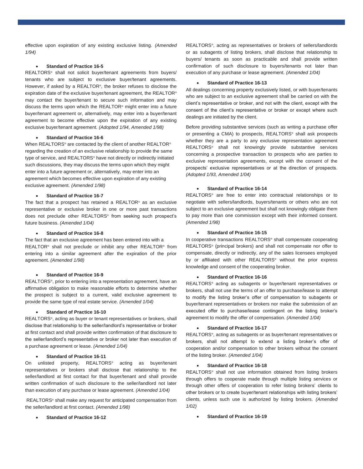effective upon expiration of any existing exclusive listing. *(Amended 1/94)*

### • **Standard of Practice 16-5**

REALTORS® shall not solicit buyer/tenant agreements from buyers/ tenants who are subject to exclusive buyer/tenant agreements. However, if asked by a REALTOR® , the broker refuses to disclose the expiration date of the exclusive buyer/tenant agreement, the REALTOR® may contact the buyer/tenant to secure such information and may discuss the terms upon which the REALTOR® might enter into a future buyer/tenant agreement or, alternatively, may enter into a buyer/tenant agreement to become effective upon the expiration of any existing exclusive buyer/tenant agreement. *(Adopted 1/94, Amended 1/98)*

#### • **Standard of Practice 16-6**

When REALTORS<sup>®</sup> are contacted by the client of another REALTOR<sup>®</sup> regarding the creation of an exclusive relationship to provide the same type of service, and REALTORS® have not directly or indirectly initiated such discussions, they may discuss the terms upon which they might enter into a future agreement or, alternatively, may enter into an agreement which becomes effective upon expiration of any existing exclusive agreement. *(Amended 1/98)*

### • **Standard of Practice 16-7**

The fact that a prospect has retained a REALTOR® as an exclusive representative or exclusive broker in one or more past transactions does not preclude other REALTORS® from seeking such prospect's future business. *(Amended 1/04)*

### • **Standard of Practice 16-8**

The fact that an exclusive agreement has been entered into with a REALTOR® shall not preclude or inhibit any other REALTOR® from entering into a similar agreement after the expiration of the prior agreement. *(Amended 1/98)*

#### • **Standard of Practice 16-9**

REALTORS® , prior to entering into a representation agreement, have an affirmative obligation to make reasonable efforts to determine whether the prospect is subject to a current, valid exclusive agreement to provide the same type of real estate service. *(Amended 1/04)*

#### • **Standard of Practice 16-10**

REALTORS® , acting as buyer or tenant representatives or brokers, shall disclose that relationship to the seller/landlord's representative or broker at first contact and shall provide written confirmation of that disclosure to the seller/landlord's representative or broker not later than execution of a purchase agreement or lease. *(Amended 1/04)*

### • **Standard of Practice 16-11**

On unlisted property, REALTORS<sup>®</sup> acting as buyer/tenant representatives or brokers shall disclose that relationship to the seller/landlord at first contact for that buyer/tenant and shall provide written confirmation of such disclosure to the seller/landlord not later than execution of any purchase or lease agreement. *(Amended 1/04)*

REALTORS® shall make any request for anticipated compensation from the seller/landlord at first contact. *(Amended 1/98)*

• **Standard of Practice 16-12**

REALTORS® , acting as representatives or brokers of sellers/landlords or as subagents of listing brokers, shall disclose that relationship to buyers/ tenants as soon as practicable and shall provide written confirmation of such disclosure to buyers/tenants not later than execution of any purchase or lease agreement. *(Amended 1/04)*

### • **Standard of Practice 16-13**

All dealings concerning property exclusively listed, or with buyer/tenants who are subject to an exclusive agreement shall be carried on with the client's representative or broker, and not with the client, except with the consent of the client's representative or broker or except where such dealings are initiated by the client.

Before providing substantive services (such as writing a purchase offer or presenting a CMA) to prospects, REALTORS® shall ask prospects whether they are a party to any exclusive representation agreement REALTORS® shall not knowingly provide substantive services concerning a prospective transaction to prospects who are parties to exclusive representation agreements, except with the consent of the prospects' exclusive representatives or at the direction of prospects. *(Adopted 1/93, Amended 1/04)*

### • **Standard of Practice 16-14**

REALTORS® are free to enter into contractual relationships or to negotiate with sellers/landlords, buyers/tenants or others who are not subject to an exclusive agreement but shall not knowingly obligate them to pay more than one commission except with their informed consent. *(Amended 1/98)*

#### • **Standard of Practice 16-15**

In cooperative transactions REALTORS® shall compensate cooperating REALTORS® (principal brokers) and shall not compensate nor offer to compensate, directly or indirectly, any of the sales licensees employed by or affiliated with other REALTORS<sup>®</sup> without the prior express knowledge and consent of the cooperating broker.

### • **Standard of Practice 16-16**

REALTORS® acting as subagents or buyer/tenant representatives or brokers, shall not use the terms of an offer to purchase/lease to attempt to modify the listing broker's offer of compensation to subagents or buyer/tenant representatives or brokers nor make the submission of an executed offer to purchase/lease contingent on the listing broker's agreement to modify the offer of compensation. *(Amended 1/04)*

### • **Standard of Practice 16-17**

REALTORS® , acting as subagents or as buyer/tenant representatives or brokers, shall not attempt to extend a listing broker's offer of cooperation and/or compensation to other brokers without the consent of the listing broker. *(Amended 1/04)*

#### • **Standard of Practice 16-18**

REALTORS® shall not use information obtained from listing brokers through offers to cooperate made through multiple listing services or through other offers of cooperation to refer listing brokers' clients to other brokers or to create buyer/tenant relationships with listing brokers' clients, unless such use is authorized by listing brokers. *(Amended 1/02)*

• **Standard of Practice 16-19**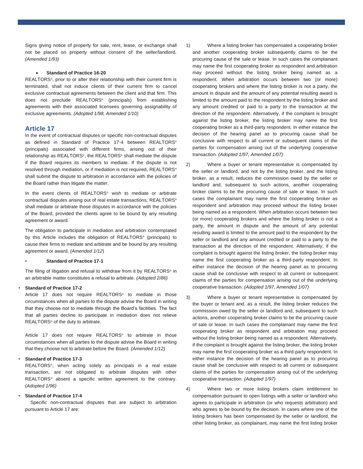Signs giving notice of property for sale, rent, lease, or exchange shall not be placed on property without consent of the seller/landlord. *(Amended 1/93)*

#### • **Standard of Practice 16-20**

REALTORS® , prior to or after their relationship with their current firm is terminated, shall not induce clients of their current firm to cancel exclusive contractual agreements between the client and that firm. This does not preclude REALTORS® (principals) from establishing agreements with their associated licensees governing assignability of exclusive agreements. *(Adopted 1/98, Amended 1/10)*

### **Article 17**

In the event of contractual disputes or specific non-contractual disputes as defined in Standard of Practice 17-4 between REALTORS® (principals) associated with different firms, arising out of their relationship as REALTORS® , the REALTORS® shall mediate the dispute if the Board requires its members to mediate. If the dispute is not resolved through mediation, or if mediation is not required, REALTORS® shall submit the dispute to arbitration in accordance with the policies of the Board rather than litigate the matter.

In the event clients of REALTORS® wish to mediate or arbitrate contractual disputes arising out of real estate transactions, REALTORS® shall mediate or arbitrate those disputes in accordance with the policies of the Board, provided the clients agree to be bound by any resulting agreement or award.

The obligation to participate in mediation and arbitration contemplated by this Article includes the obligation of REALTORS® (principals) to cause their firms to mediate and arbitrate and be bound by any resulting agreement or award. *(Amended 1/12*)

### • **Standard of Practice 17-1**

The filing of litigation and refusal to withdraw from it by REALTORS® in an arbitrable matter constitutes a refusal to arbitrate. *(Adopted 2/86)*

#### • **Standard of Practice 17-2**

Article 17 does not require REALTORS® to mediate in those circumstances when all parties to the dispute advise the Board in writing that they choose not to mediate through the Board's facilities. The fact that all parties decline to participate in mediation does not relieve REALTORS® of the duty to arbitrate.

Article 17 does not require REALTORS® to arbitrate in those circumstances when all parties to the dispute advise the Board in writing that they choose not to arbitrate before the Board. *(Amended 1/12)*

#### • **Standard of Practice 17-3**

REALTORS® , when acting solely as principals in a real estate transaction, are not obligated to arbitrate disputes with other REALTORS<sup>®</sup> absent a specific written agreement to the contrary. *(Adopted 1/96)*

### • **Standard of Practice 17-4**

 Specific non-contractual disputes that are subject to arbitration pursuant to Article 17 are:

- 1) Where a listing broker has compensated a cooperating broker and another cooperating broker subsequently claims to be the procuring cause of the sale or lease. In such cases the complainant may name the first cooperating broker as respondent and arbitration may proceed without the listing broker being named as a respondent. When arbitration occurs between two (or more) cooperating brokers and where the listing broker is not a party, the amount in dispute and the amount of any potential resulting award is limited to the amount paid to the respondent by the listing broker and any amount credited or paid to a party to the transaction at the direction of the respondent. Alternatively, if the complaint is brought against the listing broker, the listing broker may name the first cooperating broker as a third-party respondent. In either instance the decision of the hearing panel as to procuring cause shall be conclusive with respect to all current or subsequent claims of the parties for compensation arising out of the underlying cooperative transaction. *(Adopted 1/97, Amended 1/07)*
- 2) Where a buyer or tenant representative is compensated by the seller or landlord, and not by the listing broker, and the listing broker, as a result, reduces the commission owed by the seller or landlord and, subsequent to such actions, another cooperating broker claims to be the procuring cause of sale or lease. In such cases the complainant may name the first cooperating broker as respondent and arbitration may proceed without the listing broker being named as a respondent. When arbitration occurs between two (or more) cooperating brokers and where the listing broker is not a party, the amount in dispute and the amount of any potential resulting award is limited to the amount paid to the respondent by the seller or landlord and any amount credited or paid to a party to the transaction at the direction of the respondent. Alternatively, if the complaint is brought against the listing broker, the listing broker may name the first cooperating broker as a third-party respondent. In either instance the decision of the hearing panel as to procuring cause shall be conclusive with respect to all current or subsequent claims of the parties for compensation arising out of the underlying cooperative transaction. *(Adopted 1/97, Amended 1/07)*

3) Where a buyer or tenant representative is compensated by the buyer or tenant and, as a result, the listing broker reduces the commission owed by the seller or landlord and, subsequent to such actions, another cooperating broker claims to be the procuring cause of sale or lease. In such cases the complainant may name the first cooperating broker as respondent and arbitration may proceed without the listing broker being named as a respondent. Alternatively, if the complaint is brought against the listing broker, the listing broker may name the first cooperating broker as a third-party respondent. In either instance the decision of the hearing panel as to procuring cause shall be conclusive with respect to all current or subsequent claims of the parties for compensation arising out of the underlying cooperative transaction. *(Adopted 1/97)*

4) Where two or more listing brokers claim entitlement to compensation pursuant to open listings with a seller or landlord who agrees to participate in arbitration (or who requests arbitration) and who agrees to be bound by the decision. In cases where one of the listing brokers has been compensated by the seller or landlord, the other listing broker, as complainant, may name the first listing broker